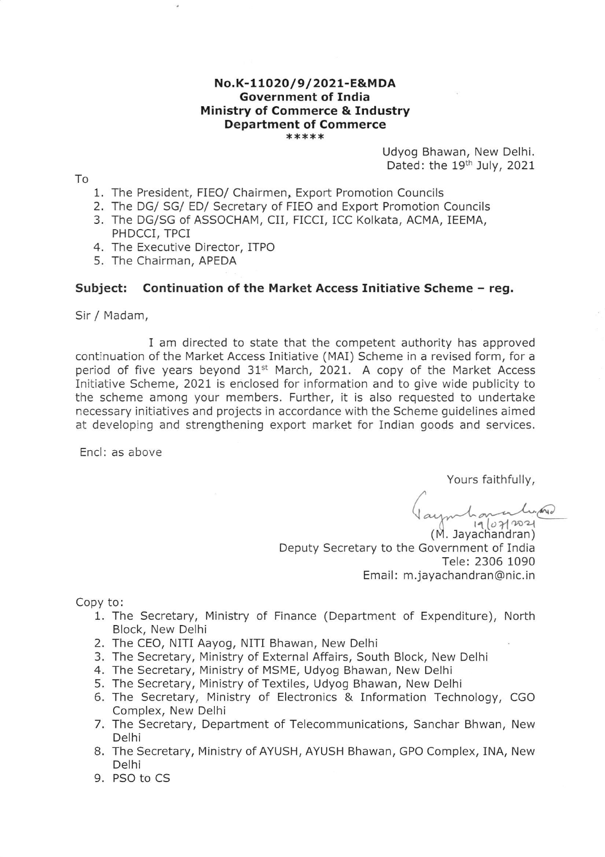# No.K-11O2O/9/2021-E&MDA Government of India Ministry of Commerce & Industry Department of Commerce<br>\*\*\*\*\*

Udyog Bhawan, New Delhi Dated: the 19<sup>th</sup> July, 2021

To

- 1. The President, FIEO/ Chairmen, Export Promotion Councils
- 2. The DG/ SG/ ED/ Secretary of FIEO and Export Promotion Councils
- 3.The DG/SG of ASSOCHAM, CII, FICCI, ICC Kolkata, ACMA, IEEMA, PHDCCI, TPCI
- 4. The Executive Director, ITPO
- 5. The Chairman, APEDA

#### Subject: Continuation of the Market Access Initiative Scheme - reg.

Sir / Madam,

I am directed to state that the competent authority has approved continuation of the Market Access Initiative (MAI) Scheme in a revised form, for a period of five years beyond  $31<sup>st</sup>$  March, 2021. A copy of the Market Access Initiative Scheme, 2O2l is enclosed for information and to give wide publicity to the scheme among your members. Further, it is also requested to undertake necessary initiatives and projects in accordance with the Scheme guidelines aimed at developing and strengthening export market for Indian goods and services.

Encl: as above

Yours faithfully,

 $\frac{1}{9}$  (07/2021  $\zeta$ 

(M. Jayachandran) Deputy Secretary to the Government of India Tele: 2306 1090 Email: m.jayachandran@nic.in

Copy to:

- 1. The Secretary, Ministry of Finance (Department of Expenditure), North Block, New Delhi
- 2. The CEO, NITI Aayog, NITI Bhawan, New Delhi
- 3. The Secretary, Ministry of External Affairs, South Block, New Delhi
- 4. The Secretary, Ministry of MSME, Udyog Bhawan, New Delhi
- 5. The Secretary, Ministry of Textiles, Udyog Bhawan, New Delhi
- 6. The Secretary, Minlstry of Electronics & Information Technology, CGO Complex, New Delhi
- 7. The Secretary, Department of Telecommunications, Sanchar Bhwan, New Delhi
- 8. The Secretary, Ministry of AYUSH, AYUSH Bhawan, GPO Complex, INA, New Delhi
- 9. PSO to CS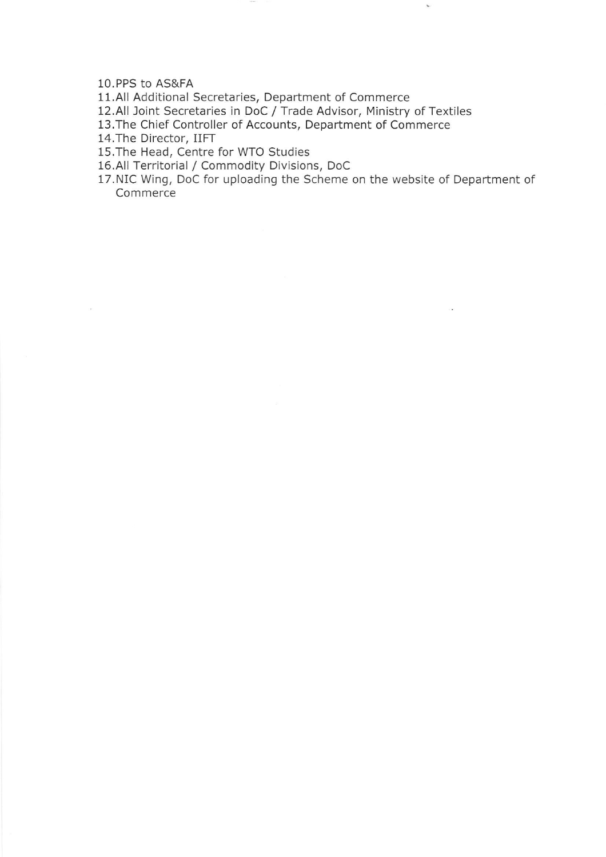10.PPS to AS&FA

11.All Additional Secretaries, Department of Commerce

12.All loint Secretaries in DoC / Trade Advisor, Ministry of Textiles

13.The Chief Controller of Accounts, Department of Commerce

14.The Director, IIFT

15.The Head, Centre for WTO Studies

16.All Territorial / Commodity Divisions, DoC

17.NIC Wing, DoC for uploading the Scheme on the website of Department of **Commerce**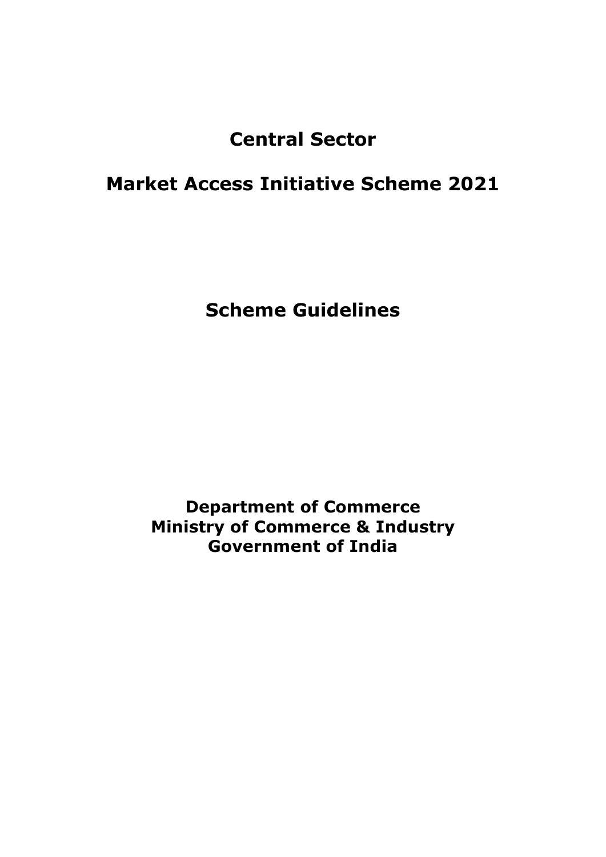# **Central Sector**

# **Market Access Initiative Scheme 2021**

**Scheme Guidelines**

**Department of Commerce Ministry of Commerce & Industry Government of India**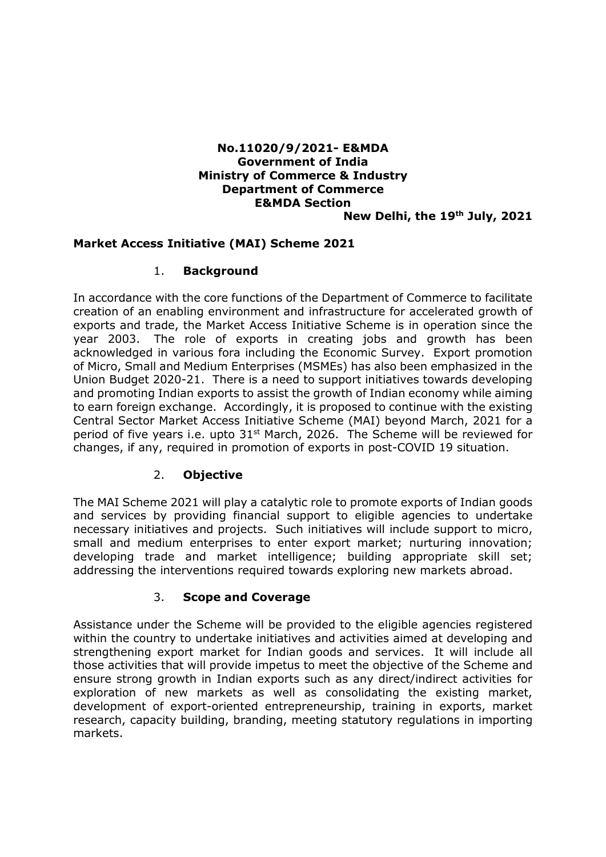# **No.11020/9/2021- E&MDA Government of India Ministry of Commerce & Industry Department of Commerce E&MDA Section**

**New Delhi, the 19th July, 2021** 

#### **Market Access Initiative (MAI) Scheme 2021**

#### 1. **Background**

In accordance with the core functions of the Department of Commerce to facilitate creation of an enabling environment and infrastructure for accelerated growth of exports and trade, the Market Access Initiative Scheme is in operation since the year 2003. The role of exports in creating jobs and growth has been acknowledged in various fora including the Economic Survey. Export promotion of Micro, Small and Medium Enterprises (MSMEs) has also been emphasized in the Union Budget 2020-21. There is a need to support initiatives towards developing and promoting Indian exports to assist the growth of Indian economy while aiming to earn foreign exchange. Accordingly, it is proposed to continue with the existing Central Sector Market Access Initiative Scheme (MAI) beyond March, 2021 for a period of five years i.e. upto 31<sup>st</sup> March, 2026. The Scheme will be reviewed for changes, if any, required in promotion of exports in post-COVID 19 situation.

# 2. **Objective**

The MAI Scheme 2021 will play a catalytic role to promote exports of Indian goods and services by providing financial support to eligible agencies to undertake necessary initiatives and projects. Such initiatives will include support to micro, small and medium enterprises to enter export market; nurturing innovation; developing trade and market intelligence; building appropriate skill set; addressing the interventions required towards exploring new markets abroad.

# 3. **Scope and Coverage**

Assistance under the Scheme will be provided to the eligible agencies registered within the country to undertake initiatives and activities aimed at developing and strengthening export market for Indian goods and services. It will include all those activities that will provide impetus to meet the objective of the Scheme and ensure strong growth in Indian exports such as any direct/indirect activities for exploration of new markets as well as consolidating the existing market, development of export-oriented entrepreneurship, training in exports, market research, capacity building, branding, meeting statutory regulations in importing markets.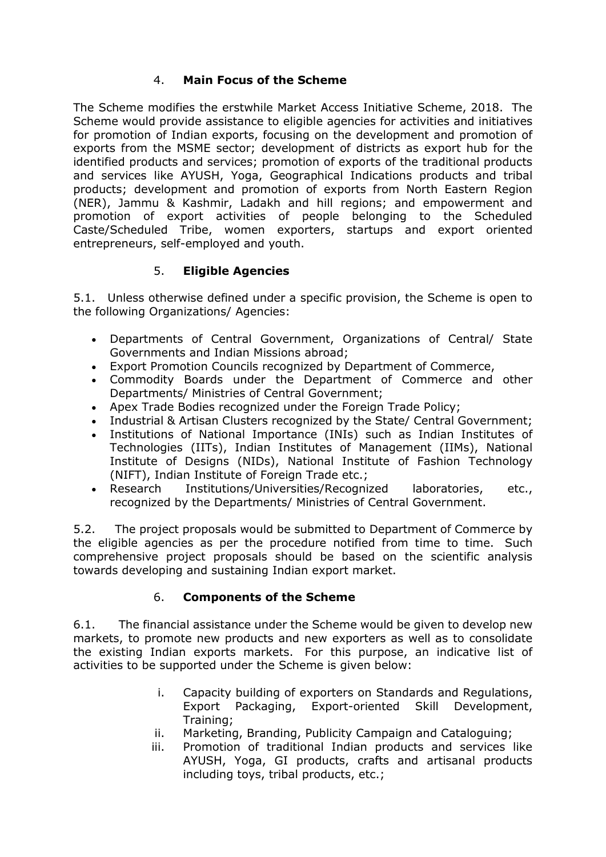# 4. **Main Focus of the Scheme**

The Scheme modifies the erstwhile Market Access Initiative Scheme, 2018. The Scheme would provide assistance to eligible agencies for activities and initiatives for promotion of Indian exports, focusing on the development and promotion of exports from the MSME sector; development of districts as export hub for the identified products and services; promotion of exports of the traditional products and services like AYUSH, Yoga, Geographical Indications products and tribal products; development and promotion of exports from North Eastern Region (NER), Jammu & Kashmir, Ladakh and hill regions; and empowerment and promotion of export activities of people belonging to the Scheduled Caste/Scheduled Tribe, women exporters, startups and export oriented entrepreneurs, self-employed and youth.

# 5. **Eligible Agencies**

5.1. Unless otherwise defined under a specific provision, the Scheme is open to the following Organizations/ Agencies:

- Departments of Central Government, Organizations of Central/ State Governments and Indian Missions abroad;
- Export Promotion Councils recognized by Department of Commerce,
- Commodity Boards under the Department of Commerce and other Departments/ Ministries of Central Government;
- Apex Trade Bodies recognized under the Foreign Trade Policy;
- Industrial & Artisan Clusters recognized by the State/ Central Government;
- Institutions of National Importance (INIs) such as Indian Institutes of Technologies (IITs), Indian Institutes of Management (IIMs), National Institute of Designs (NIDs), National Institute of Fashion Technology (NIFT), Indian Institute of Foreign Trade etc.;
- Research Institutions/Universities/Recognized laboratories, etc., recognized by the Departments/ Ministries of Central Government.

5.2. The project proposals would be submitted to Department of Commerce by the eligible agencies as per the procedure notified from time to time. Such comprehensive project proposals should be based on the scientific analysis towards developing and sustaining Indian export market.

# 6. **Components of the Scheme**

6.1. The financial assistance under the Scheme would be given to develop new markets, to promote new products and new exporters as well as to consolidate the existing Indian exports markets. For this purpose, an indicative list of activities to be supported under the Scheme is given below:

- i. Capacity building of exporters on Standards and Regulations, Export Packaging, Export-oriented Skill Development, Training;
- ii. Marketing, Branding, Publicity Campaign and Cataloguing;
- iii. Promotion of traditional Indian products and services like AYUSH, Yoga, GI products, crafts and artisanal products including toys, tribal products, etc.;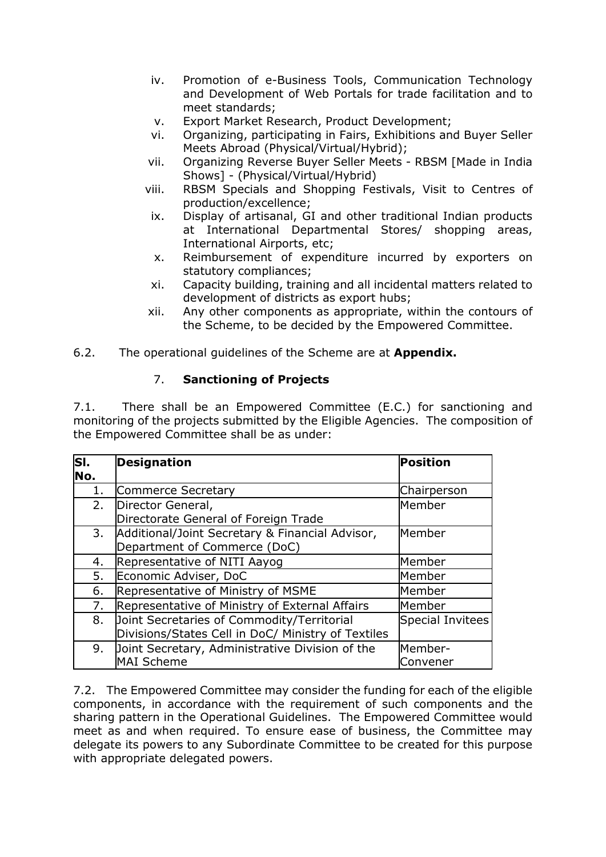- iv. Promotion of e-Business Tools, Communication Technology and Development of Web Portals for trade facilitation and to meet standards;
- v. Export Market Research, Product Development;
- vi. Organizing, participating in Fairs, Exhibitions and Buyer Seller Meets Abroad (Physical/Virtual/Hybrid);
- vii. Organizing Reverse Buyer Seller Meets RBSM [Made in India Shows] - (Physical/Virtual/Hybrid)
- viii. RBSM Specials and Shopping Festivals, Visit to Centres of production/excellence;
- ix. Display of artisanal, GI and other traditional Indian products at International Departmental Stores/ shopping areas, International Airports, etc;
- x. Reimbursement of expenditure incurred by exporters on statutory compliances;
- xi. Capacity building, training and all incidental matters related to development of districts as export hubs;
- xii. Any other components as appropriate, within the contours of the Scheme, to be decided by the Empowered Committee.
- 6.2. The operational guidelines of the Scheme are at **Appendix.**

#### 7. **Sanctioning of Projects**

7.1. There shall be an Empowered Committee (E.C.) for sanctioning and monitoring of the projects submitted by the Eligible Agencies. The composition of the Empowered Committee shall be as under:

| lsı. | <b>Designation</b>                                 | <b>Position</b>         |
|------|----------------------------------------------------|-------------------------|
| No.  |                                                    |                         |
|      | Commerce Secretary                                 | Chairperson             |
| 2.   | Director General,                                  | Member                  |
|      | Directorate General of Foreign Trade               |                         |
| 3.   | Additional/Joint Secretary & Financial Advisor,    | Member                  |
|      | Department of Commerce (DoC)                       |                         |
| 4.   | Representative of NITI Aayog                       | Member                  |
| 5.   | Economic Adviser, DoC                              | Member                  |
| 6.   | Representative of Ministry of MSME                 | Member                  |
| 7.   | Representative of Ministry of External Affairs     | Member                  |
| 8.   | Joint Secretaries of Commodity/Territorial         | <b>Special Invitees</b> |
|      | Divisions/States Cell in DoC/ Ministry of Textiles |                         |
| 9.   | Joint Secretary, Administrative Division of the    | Member-                 |
|      | <b>MAI Scheme</b>                                  | Convener                |

7.2. The Empowered Committee may consider the funding for each of the eligible components, in accordance with the requirement of such components and the sharing pattern in the Operational Guidelines. The Empowered Committee would meet as and when required. To ensure ease of business, the Committee may delegate its powers to any Subordinate Committee to be created for this purpose with appropriate delegated powers.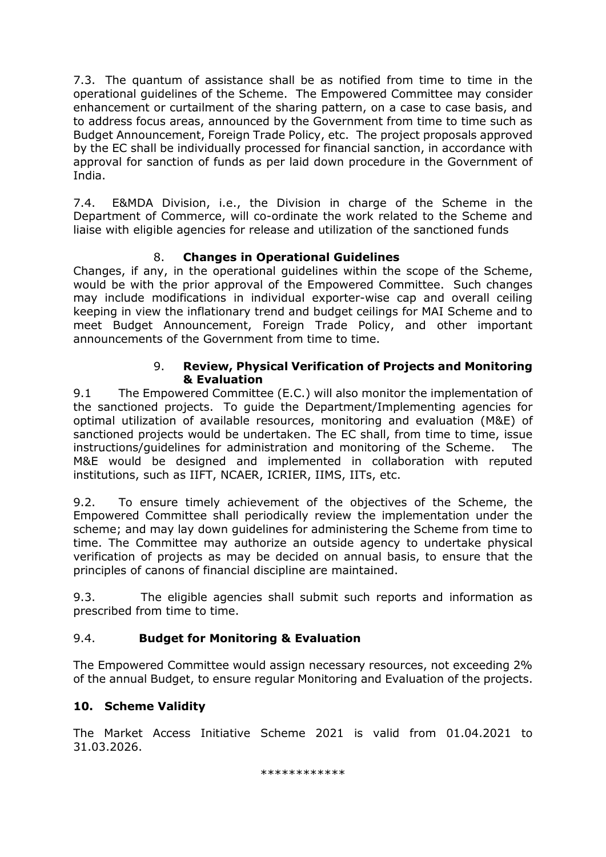7.3. The quantum of assistance shall be as notified from time to time in the operational guidelines of the Scheme. The Empowered Committee may consider enhancement or curtailment of the sharing pattern, on a case to case basis, and to address focus areas, announced by the Government from time to time such as Budget Announcement, Foreign Trade Policy, etc. The project proposals approved by the EC shall be individually processed for financial sanction, in accordance with approval for sanction of funds as per laid down procedure in the Government of India.

7.4. E&MDA Division, i.e., the Division in charge of the Scheme in the Department of Commerce, will co-ordinate the work related to the Scheme and liaise with eligible agencies for release and utilization of the sanctioned funds

# 8. **Changes in Operational Guidelines**

Changes, if any, in the operational guidelines within the scope of the Scheme, would be with the prior approval of the Empowered Committee. Such changes may include modifications in individual exporter-wise cap and overall ceiling keeping in view the inflationary trend and budget ceilings for MAI Scheme and to meet Budget Announcement, Foreign Trade Policy, and other important announcements of the Government from time to time.

## 9. **Review, Physical Verification of Projects and Monitoring & Evaluation**

9.1 The Empowered Committee (E.C.) will also monitor the implementation of the sanctioned projects. To guide the Department/Implementing agencies for optimal utilization of available resources, monitoring and evaluation (M&E) of sanctioned projects would be undertaken. The EC shall, from time to time, issue instructions/guidelines for administration and monitoring of the Scheme. The M&E would be designed and implemented in collaboration with reputed institutions, such as IIFT, NCAER, ICRIER, IIMS, IITs, etc.

9.2. To ensure timely achievement of the objectives of the Scheme, the Empowered Committee shall periodically review the implementation under the scheme; and may lay down guidelines for administering the Scheme from time to time. The Committee may authorize an outside agency to undertake physical verification of projects as may be decided on annual basis, to ensure that the principles of canons of financial discipline are maintained.

9.3. The eligible agencies shall submit such reports and information as prescribed from time to time.

# 9.4. **Budget for Monitoring & Evaluation**

The Empowered Committee would assign necessary resources, not exceeding 2% of the annual Budget, to ensure regular Monitoring and Evaluation of the projects.

# **10. Scheme Validity**

The Market Access Initiative Scheme 2021 is valid from 01.04.2021 to 31.03.2026.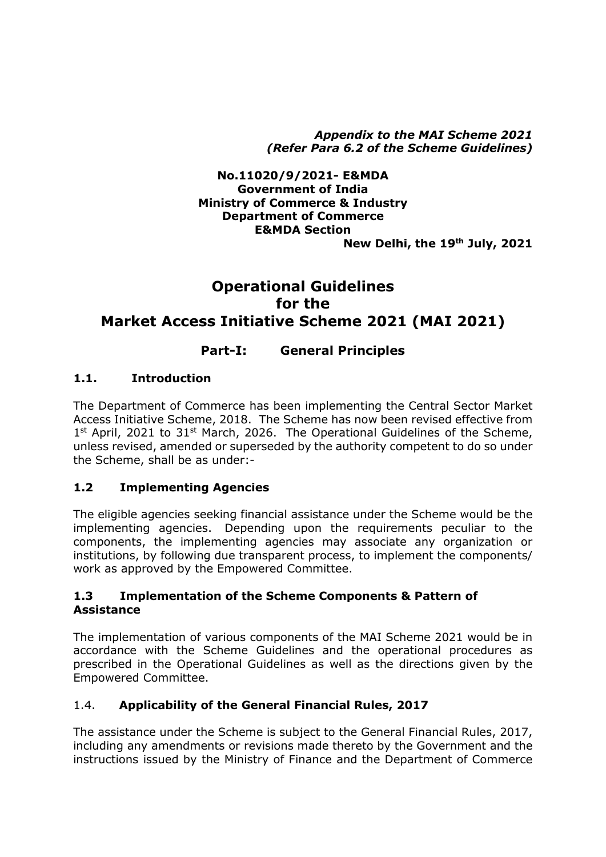*Appendix to the MAI Scheme 2021 (Refer Para 6.2 of the Scheme Guidelines)*

#### **No.11020/9/2021- E&MDA Government of India Ministry of Commerce & Industry Department of Commerce E&MDA Section New Delhi, the 19th July, 2021**

# **Operational Guidelines for the Market Access Initiative Scheme 2021 (MAI 2021)**

# **Part-I: General Principles**

## **1.1. Introduction**

The Department of Commerce has been implementing the Central Sector Market Access Initiative Scheme, 2018. The Scheme has now been revised effective from 1<sup>st</sup> April, 2021 to 31<sup>st</sup> March, 2026. The Operational Guidelines of the Scheme, unless revised, amended or superseded by the authority competent to do so under the Scheme, shall be as under:-

#### **1.2 Implementing Agencies**

The eligible agencies seeking financial assistance under the Scheme would be the implementing agencies. Depending upon the requirements peculiar to the components, the implementing agencies may associate any organization or institutions, by following due transparent process, to implement the components/ work as approved by the Empowered Committee.

#### **1.3 Implementation of the Scheme Components & Pattern of Assistance**

The implementation of various components of the MAI Scheme 2021 would be in accordance with the Scheme Guidelines and the operational procedures as prescribed in the Operational Guidelines as well as the directions given by the Empowered Committee.

# 1.4. **Applicability of the General Financial Rules, 2017**

The assistance under the Scheme is subject to the General Financial Rules, 2017, including any amendments or revisions made thereto by the Government and the instructions issued by the Ministry of Finance and the Department of Commerce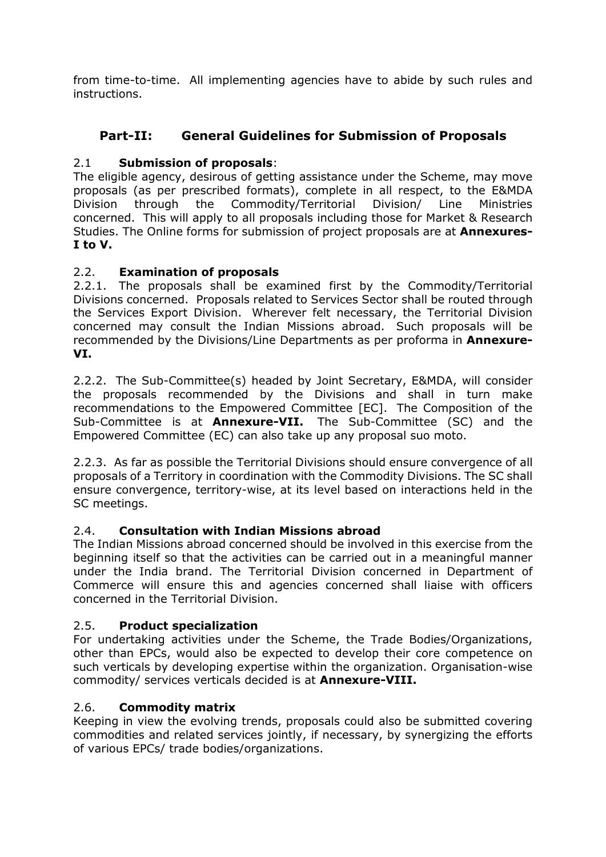from time-to-time. All implementing agencies have to abide by such rules and instructions.

# **Part-II: General Guidelines for Submission of Proposals**

# 2.1 **Submission of proposals**:

The eligible agency, desirous of getting assistance under the Scheme, may move proposals (as per prescribed formats), complete in all respect, to the E&MDA Division through the Commodity/Territorial Division/ Line Ministries concerned. This will apply to all proposals including those for Market & Research Studies. The Online forms for submission of project proposals are at **Annexures-I to V.**

## 2.2. **Examination of proposals**

2.2.1. The proposals shall be examined first by the Commodity/Territorial Divisions concerned. Proposals related to Services Sector shall be routed through the Services Export Division. Wherever felt necessary, the Territorial Division concerned may consult the Indian Missions abroad. Such proposals will be recommended by the Divisions/Line Departments as per proforma in **Annexure-VI.**

2.2.2. The Sub-Committee(s) headed by Joint Secretary, E&MDA, will consider the proposals recommended by the Divisions and shall in turn make recommendations to the Empowered Committee [EC]. The Composition of the Sub-Committee is at **Annexure-VII.** The Sub-Committee (SC) and the Empowered Committee (EC) can also take up any proposal suo moto.

2.2.3. As far as possible the Territorial Divisions should ensure convergence of all proposals of a Territory in coordination with the Commodity Divisions. The SC shall ensure convergence, territory-wise, at its level based on interactions held in the SC meetings.

# 2.4. **Consultation with Indian Missions abroad**

The Indian Missions abroad concerned should be involved in this exercise from the beginning itself so that the activities can be carried out in a meaningful manner under the India brand. The Territorial Division concerned in Department of Commerce will ensure this and agencies concerned shall liaise with officers concerned in the Territorial Division.

# 2.5. **Product specialization**

For undertaking activities under the Scheme, the Trade Bodies/Organizations, other than EPCs, would also be expected to develop their core competence on such verticals by developing expertise within the organization. Organisation-wise commodity/ services verticals decided is at **Annexure-VIII.**

#### 2.6. **Commodity matrix**

Keeping in view the evolving trends, proposals could also be submitted covering commodities and related services jointly, if necessary, by synergizing the efforts of various EPCs/ trade bodies/organizations.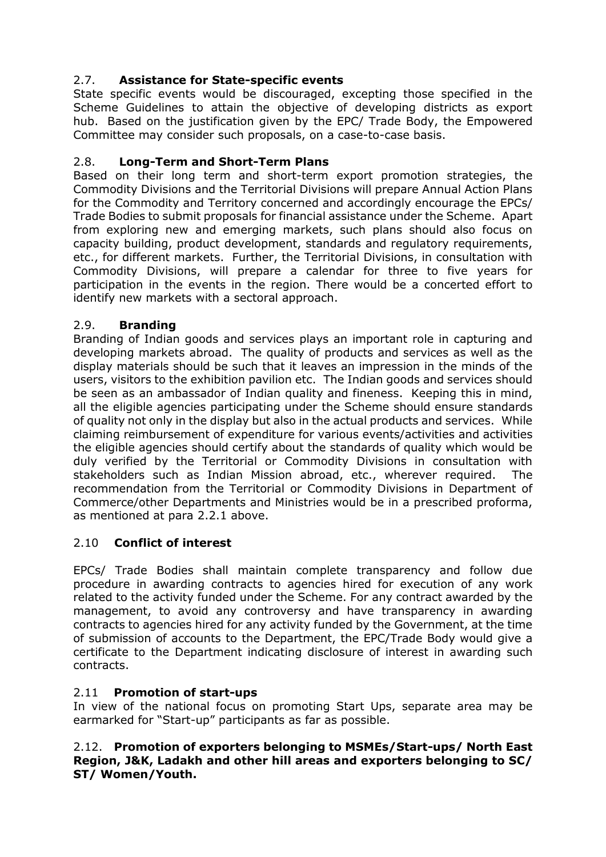# 2.7. **Assistance for State-specific events**

State specific events would be discouraged, excepting those specified in the Scheme Guidelines to attain the objective of developing districts as export hub. Based on the justification given by the EPC/ Trade Body, the Empowered Committee may consider such proposals, on a case-to-case basis.

# 2.8. **Long-Term and Short-Term Plans**

Based on their long term and short-term export promotion strategies, the Commodity Divisions and the Territorial Divisions will prepare Annual Action Plans for the Commodity and Territory concerned and accordingly encourage the EPCs/ Trade Bodies to submit proposals for financial assistance under the Scheme. Apart from exploring new and emerging markets, such plans should also focus on capacity building, product development, standards and regulatory requirements, etc., for different markets. Further, the Territorial Divisions, in consultation with Commodity Divisions, will prepare a calendar for three to five years for participation in the events in the region. There would be a concerted effort to identify new markets with a sectoral approach.

## 2.9. **Branding**

Branding of Indian goods and services plays an important role in capturing and developing markets abroad. The quality of products and services as well as the display materials should be such that it leaves an impression in the minds of the users, visitors to the exhibition pavilion etc. The Indian goods and services should be seen as an ambassador of Indian quality and fineness. Keeping this in mind, all the eligible agencies participating under the Scheme should ensure standards of quality not only in the display but also in the actual products and services. While claiming reimbursement of expenditure for various events/activities and activities the eligible agencies should certify about the standards of quality which would be duly verified by the Territorial or Commodity Divisions in consultation with stakeholders such as Indian Mission abroad, etc., wherever required. The recommendation from the Territorial or Commodity Divisions in Department of Commerce/other Departments and Ministries would be in a prescribed proforma, as mentioned at para 2.2.1 above.

# 2.10 **Conflict of interest**

EPCs/ Trade Bodies shall maintain complete transparency and follow due procedure in awarding contracts to agencies hired for execution of any work related to the activity funded under the Scheme. For any contract awarded by the management, to avoid any controversy and have transparency in awarding contracts to agencies hired for any activity funded by the Government, at the time of submission of accounts to the Department, the EPC/Trade Body would give a certificate to the Department indicating disclosure of interest in awarding such contracts.

#### 2.11 **Promotion of start-ups**

In view of the national focus on promoting Start Ups, separate area may be earmarked for "Start-up" participants as far as possible.

2.12. **Promotion of exporters belonging to MSMEs/Start-ups/ North East Region, J&K, Ladakh and other hill areas and exporters belonging to SC/ ST/ Women/Youth.**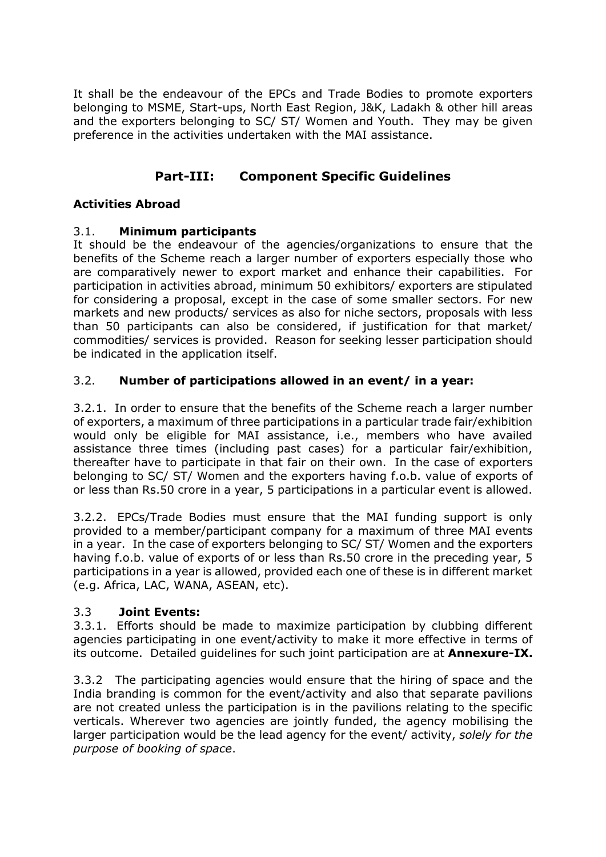It shall be the endeavour of the EPCs and Trade Bodies to promote exporters belonging to MSME, Start-ups, North East Region, J&K, Ladakh & other hill areas and the exporters belonging to SC/ ST/ Women and Youth. They may be given preference in the activities undertaken with the MAI assistance.

# **Part-III: Component Specific Guidelines**

# **Activities Abroad**

## 3.1. **Minimum participants**

It should be the endeavour of the agencies/organizations to ensure that the benefits of the Scheme reach a larger number of exporters especially those who are comparatively newer to export market and enhance their capabilities. For participation in activities abroad, minimum 50 exhibitors/ exporters are stipulated for considering a proposal, except in the case of some smaller sectors. For new markets and new products/ services as also for niche sectors, proposals with less than 50 participants can also be considered, if justification for that market/ commodities/ services is provided. Reason for seeking lesser participation should be indicated in the application itself.

## 3.2. **Number of participations allowed in an event/ in a year:**

3.2.1. In order to ensure that the benefits of the Scheme reach a larger number of exporters, a maximum of three participations in a particular trade fair/exhibition would only be eligible for MAI assistance, i.e., members who have availed assistance three times (including past cases) for a particular fair/exhibition, thereafter have to participate in that fair on their own. In the case of exporters belonging to SC/ ST/ Women and the exporters having f.o.b. value of exports of or less than Rs.50 crore in a year, 5 participations in a particular event is allowed.

3.2.2. EPCs/Trade Bodies must ensure that the MAI funding support is only provided to a member/participant company for a maximum of three MAI events in a year. In the case of exporters belonging to SC/ ST/ Women and the exporters having f.o.b. value of exports of or less than Rs.50 crore in the preceding year, 5 participations in a year is allowed, provided each one of these is in different market (e.g. Africa, LAC, WANA, ASEAN, etc).

#### 3.3 **Joint Events:**

3.3.1. Efforts should be made to maximize participation by clubbing different agencies participating in one event/activity to make it more effective in terms of its outcome. Detailed guidelines for such joint participation are at **Annexure-IX.**

3.3.2 The participating agencies would ensure that the hiring of space and the India branding is common for the event/activity and also that separate pavilions are not created unless the participation is in the pavilions relating to the specific verticals. Wherever two agencies are jointly funded, the agency mobilising the larger participation would be the lead agency for the event/ activity, *solely for the purpose of booking of space*.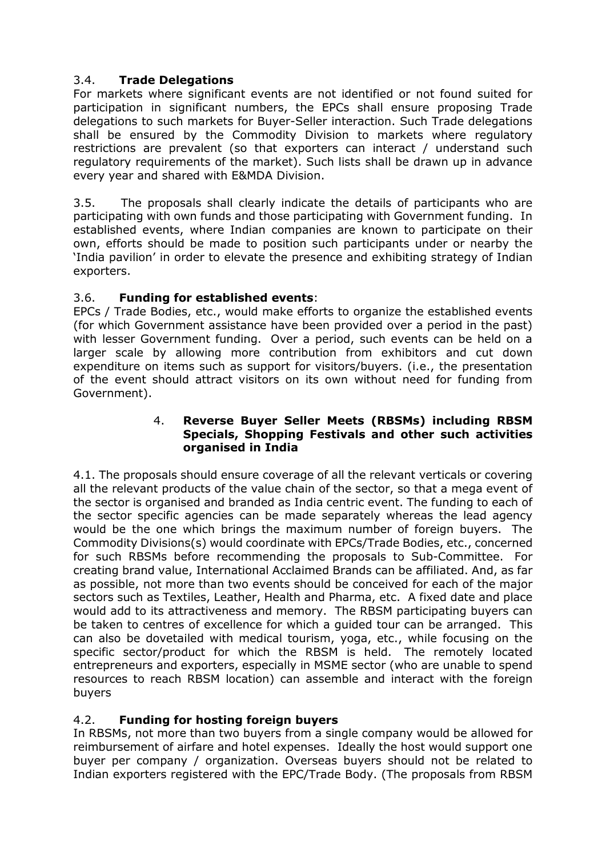# 3.4. **Trade Delegations**

For markets where significant events are not identified or not found suited for participation in significant numbers, the EPCs shall ensure proposing Trade delegations to such markets for Buyer-Seller interaction. Such Trade delegations shall be ensured by the Commodity Division to markets where regulatory restrictions are prevalent (so that exporters can interact / understand such regulatory requirements of the market). Such lists shall be drawn up in advance every year and shared with E&MDA Division.

3.5. The proposals shall clearly indicate the details of participants who are participating with own funds and those participating with Government funding. In established events, where Indian companies are known to participate on their own, efforts should be made to position such participants under or nearby the 'India pavilion' in order to elevate the presence and exhibiting strategy of Indian exporters.

# 3.6. **Funding for established events**:

EPCs / Trade Bodies, etc., would make efforts to organize the established events (for which Government assistance have been provided over a period in the past) with lesser Government funding. Over a period, such events can be held on a larger scale by allowing more contribution from exhibitors and cut down expenditure on items such as support for visitors/buyers. (i.e., the presentation of the event should attract visitors on its own without need for funding from Government).

#### 4. **Reverse Buyer Seller Meets (RBSMs) including RBSM Specials, Shopping Festivals and other such activities organised in India**

4.1. The proposals should ensure coverage of all the relevant verticals or covering all the relevant products of the value chain of the sector, so that a mega event of the sector is organised and branded as India centric event. The funding to each of the sector specific agencies can be made separately whereas the lead agency would be the one which brings the maximum number of foreign buyers. The Commodity Divisions(s) would coordinate with EPCs/Trade Bodies, etc., concerned for such RBSMs before recommending the proposals to Sub-Committee. For creating brand value, International Acclaimed Brands can be affiliated. And, as far as possible, not more than two events should be conceived for each of the major sectors such as Textiles, Leather, Health and Pharma, etc. A fixed date and place would add to its attractiveness and memory. The RBSM participating buyers can be taken to centres of excellence for which a guided tour can be arranged. This can also be dovetailed with medical tourism, yoga, etc., while focusing on the specific sector/product for which the RBSM is held. The remotely located entrepreneurs and exporters, especially in MSME sector (who are unable to spend resources to reach RBSM location) can assemble and interact with the foreign buyers

# 4.2. **Funding for hosting foreign buyers**

In RBSMs, not more than two buyers from a single company would be allowed for reimbursement of airfare and hotel expenses. Ideally the host would support one buyer per company / organization. Overseas buyers should not be related to Indian exporters registered with the EPC/Trade Body. (The proposals from RBSM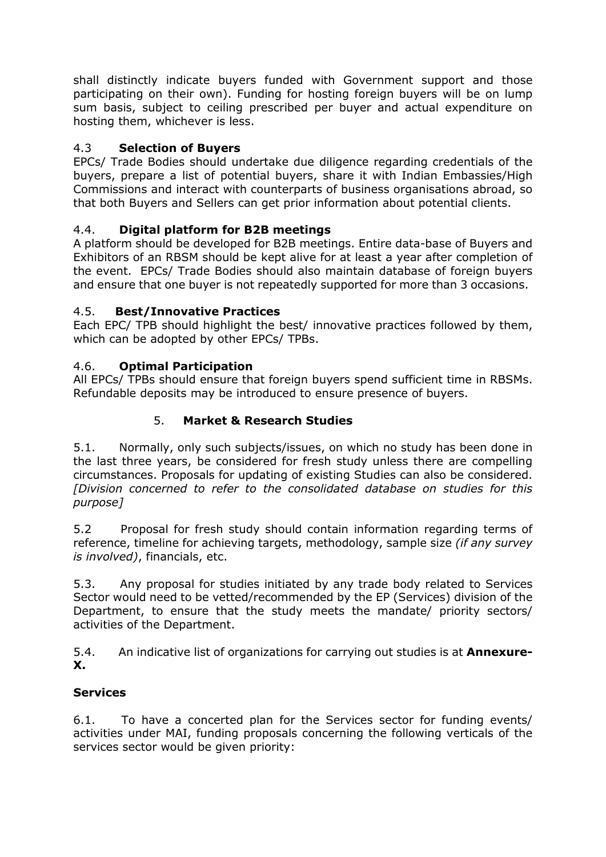shall distinctly indicate buyers funded with Government support and those participating on their own). Funding for hosting foreign buyers will be on lump sum basis, subject to ceiling prescribed per buyer and actual expenditure on hosting them, whichever is less.

# 4.3 **Selection of Buyers**

EPCs/ Trade Bodies should undertake due diligence regarding credentials of the buyers, prepare a list of potential buyers, share it with Indian Embassies/High Commissions and interact with counterparts of business organisations abroad, so that both Buyers and Sellers can get prior information about potential clients.

# 4.4. **Digital platform for B2B meetings**

A platform should be developed for B2B meetings. Entire data-base of Buyers and Exhibitors of an RBSM should be kept alive for at least a year after completion of the event. EPCs/ Trade Bodies should also maintain database of foreign buyers and ensure that one buyer is not repeatedly supported for more than 3 occasions.

# 4.5. **Best/Innovative Practices**

Each EPC/ TPB should highlight the best/ innovative practices followed by them, which can be adopted by other EPCs/ TPBs.

# 4.6. **Optimal Participation**

All EPCs/ TPBs should ensure that foreign buyers spend sufficient time in RBSMs. Refundable deposits may be introduced to ensure presence of buyers.

# 5. **Market & Research Studies**

5.1. Normally, only such subjects/issues, on which no study has been done in the last three years, be considered for fresh study unless there are compelling circumstances. Proposals for updating of existing Studies can also be considered. *[Division concerned to refer to the consolidated database on studies for this purpose]*

5.2 Proposal for fresh study should contain information regarding terms of reference, timeline for achieving targets, methodology, sample size *(if any survey is involved)*, financials, etc.

5.3. Any proposal for studies initiated by any trade body related to Services Sector would need to be vetted/recommended by the EP (Services) division of the Department, to ensure that the study meets the mandate/ priority sectors/ activities of the Department.

5.4. An indicative list of organizations for carrying out studies is at **Annexure-X.**

# **Services**

6.1. To have a concerted plan for the Services sector for funding events/ activities under MAI, funding proposals concerning the following verticals of the services sector would be given priority: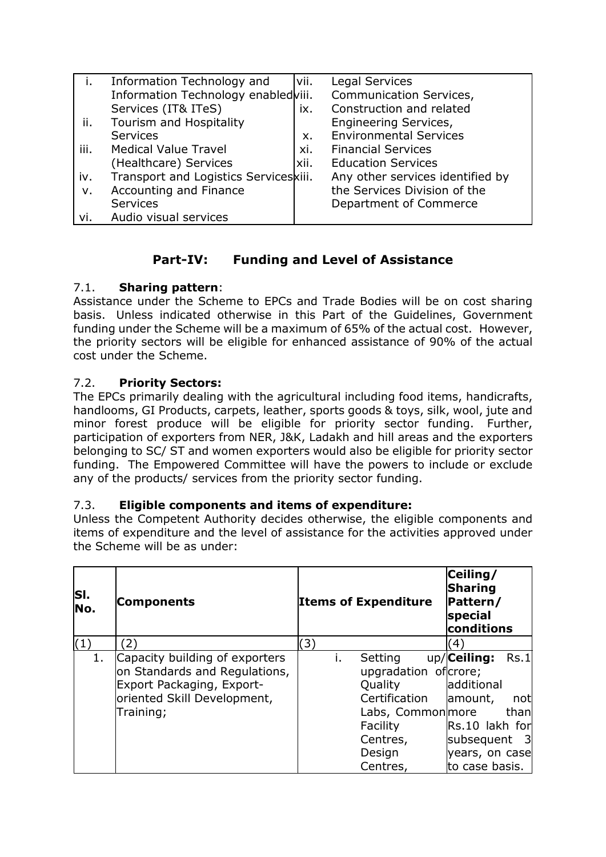|      | Information Technology and            | vii. | Legal Services                   |
|------|---------------------------------------|------|----------------------------------|
|      | Information Technology enabledviii.   |      | Communication Services,          |
|      | Services (IT& ITeS)                   | ix.  | Construction and related         |
| ii.  | Tourism and Hospitality               |      | Engineering Services,            |
|      | <b>Services</b>                       | Х.   | <b>Environmental Services</b>    |
| iii. | <b>Medical Value Travel</b>           | xi.  | <b>Financial Services</b>        |
|      | (Healthcare) Services                 | xii. | <b>Education Services</b>        |
| iv.  | Transport and Logistics Serviceskiii. |      | Any other services identified by |
| ν.   | Accounting and Finance                |      | the Services Division of the     |
|      | <b>Services</b>                       |      | Department of Commerce           |
| vi.  | Audio visual services                 |      |                                  |

# **Part-IV: Funding and Level of Assistance**

# 7.1. **Sharing pattern**:

Assistance under the Scheme to EPCs and Trade Bodies will be on cost sharing basis. Unless indicated otherwise in this Part of the Guidelines, Government funding under the Scheme will be a maximum of 65% of the actual cost. However, the priority sectors will be eligible for enhanced assistance of 90% of the actual cost under the Scheme.

# 7.2. **Priority Sectors:**

The EPCs primarily dealing with the agricultural including food items, handicrafts, handlooms, GI Products, carpets, leather, sports goods & toys, silk, wool, jute and minor forest produce will be eligible for priority sector funding. Further, participation of exporters from NER, J&K, Ladakh and hill areas and the exporters belonging to SC/ ST and women exporters would also be eligible for priority sector funding. The Empowered Committee will have the powers to include or exclude any of the products/ services from the priority sector funding.

# 7.3. **Eligible components and items of expenditure:**

Unless the Competent Authority decides otherwise, the eligible components and items of expenditure and the level of assistance for the activities approved under the Scheme will be as under:

| SI.<br>No. | Components                     |    | <b>Items of Expenditure</b> | Ceiling/<br><b>Sharing</b><br>Pattern/<br>special<br>conditions |
|------------|--------------------------------|----|-----------------------------|-----------------------------------------------------------------|
| (1)        | $\mathbf{2}^{\mathbf{1}}$      | 3) |                             | (4)                                                             |
| 1.         | Capacity building of exporters | i. | Setting                     | up/Ceiling:<br>Rs.1                                             |
|            | on Standards and Regulations,  |    | upgradation of crore;       |                                                                 |
|            | Export Packaging, Export-      |    | Quality                     | additional                                                      |
|            | oriented Skill Development,    |    | Certification               | amount,<br>not                                                  |
|            | Training;                      |    | Labs, Commonmore            | than                                                            |
|            |                                |    | Facility                    | Rs.10 lakh for                                                  |
|            |                                |    | Centres,                    | subsequent 3                                                    |
|            |                                |    | Design                      | years, on case                                                  |
|            |                                |    | Centres,                    | to case basis.                                                  |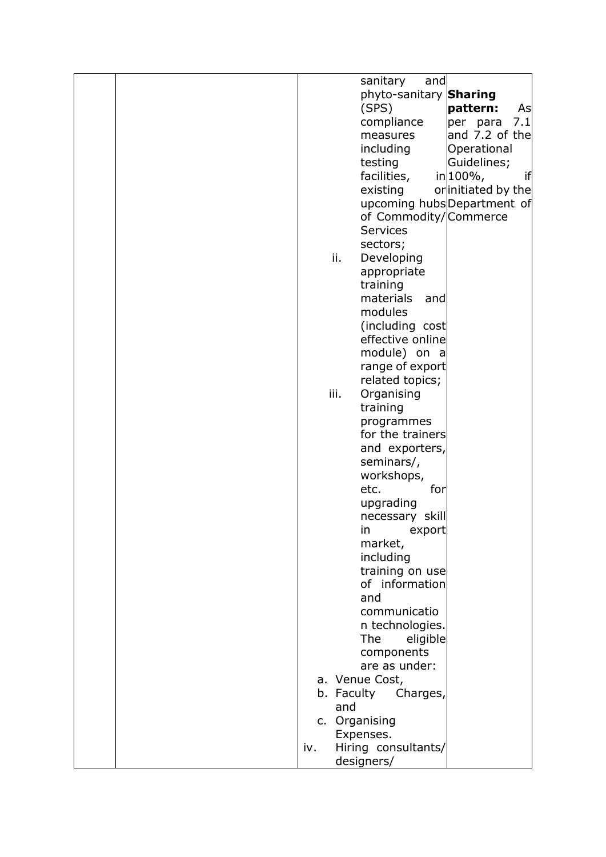| sanitary<br>and                |
|--------------------------------|
| phyto-sanitary Sharing         |
|                                |
| (SPS)<br>pattern:<br>As        |
| 7.1<br>compliance<br>per para  |
| and 7.2 of the<br>measures     |
| including<br>Operational       |
| Guidelines;<br>testing         |
| facilities,<br>in 100%,<br>if  |
| existing<br>orinitiated by the |
| upcoming hubsDepartment of     |
| of Commodity/Commerce          |
| <b>Services</b>                |
| sectors;                       |
| ii.<br>Developing              |
| appropriate                    |
| training                       |
| materials<br>and               |
|                                |
| modules                        |
| (including cost                |
| effective online               |
| module) on a                   |
| range of export                |
| related topics;                |
| iii.<br>Organising             |
| training                       |
| programmes                     |
| for the trainers               |
| and exporters,                 |
| seminars/,                     |
| workshops,                     |
| for<br>etc.                    |
| upgrading                      |
| necessary skill                |
| in<br>export                   |
| market,                        |
| including                      |
| training on use                |
| of information                 |
| and                            |
| communicatio                   |
| n technologies.                |
|                                |
| The<br>eligible                |
| components                     |
| are as under:                  |
| a. Venue Cost,                 |
| b. Faculty<br>Charges,         |
| and                            |
| c. Organising                  |
| Expenses.                      |
| Hiring consultants/<br>iv.     |
| designers/                     |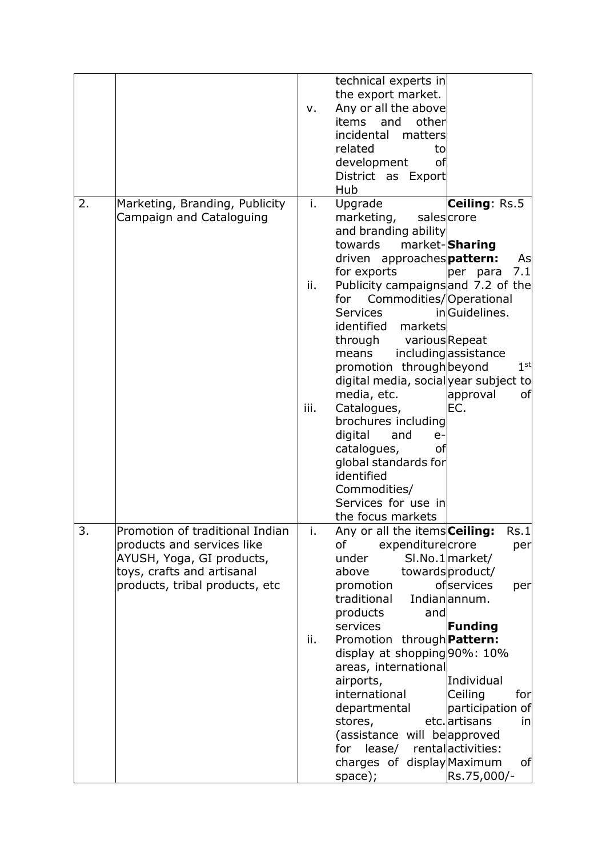|    |                                                                                                                          | v.        | technical experts in<br>the export market.<br>Any or all the above<br>items<br>and<br>other<br>incidental<br>matters<br>related<br>to<br>development<br>οf<br>District as Export<br>Hub                                                                                          |                                                                                                                   |
|----|--------------------------------------------------------------------------------------------------------------------------|-----------|----------------------------------------------------------------------------------------------------------------------------------------------------------------------------------------------------------------------------------------------------------------------------------|-------------------------------------------------------------------------------------------------------------------|
| 2. | Marketing, Branding, Publicity<br>Campaign and Cataloguing                                                               | i.<br>ii. | Upgrade<br>marketing,<br>and branding ability<br>towards<br>driven approachespattern:<br>for exports<br>Publicity campaigns and 7.2 of the<br>Commodities/Operational<br>for<br><b>Services</b><br>identified<br>markets<br>through<br>variousRepeat                             | <b>Ceiling</b> : Rs.5<br>salescrore<br>market-Sharing<br>As<br>7.1<br>per para<br>inGuidelines.                   |
|    |                                                                                                                          | iii.      | means<br>promotion through beyond<br>digital media, social year subject to<br>media, etc.<br>Catalogues,<br>brochures including<br>digital<br>and<br>$e-$<br>catalogues,<br>οf<br>global standards for<br>identified<br>Commodities/<br>Services for use in<br>the focus markets | includingassistance<br>1 <sup>st</sup><br>approval<br>οf<br>EC.                                                   |
| 3. | Promotion of traditional Indian<br>products and services like<br>AYUSH, Yoga, GI products,<br>toys, crafts and artisanal | Τ.        | Any or all the items <b>Ceiling:</b><br>of<br>expenditurecrore<br>under<br>above                                                                                                                                                                                                 | Rs.1 <br>per<br>SI.No.1 market/<br>towardsproduct/                                                                |
|    | products, tribal products, etc                                                                                           | ii.       | promotion<br>traditional<br>products<br>and<br>services<br>Promotion through <b>Pattern:</b>                                                                                                                                                                                     | ofservices<br>per<br>Indianannum.<br><b>Funding</b>                                                               |
|    |                                                                                                                          |           | display at shopping 90%: 10%<br>areas, international<br>airports,<br>international<br>departmental<br>stores,<br>(assistance will beapproved<br>lease/<br>for<br>charges of display Maximum<br>space);                                                                           | Individual<br>Ceiling<br>for<br>participation of<br>etc. artisans<br>in<br>rentalactivities:<br>of<br>Rs.75,000/- |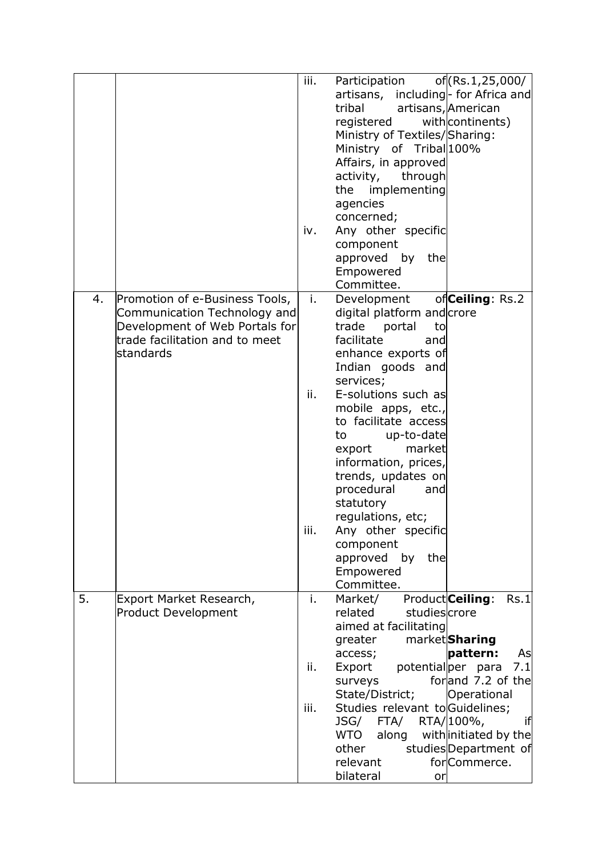|    |                                                                                                                                                 | iii.<br>iv.       | Participation<br>artisans, including- for Africa and<br>tribal<br>registered<br>Ministry of Textiles/Sharing:<br>Ministry of Tribal 100%<br>Affairs, in approved<br>activity,<br>through<br>implementing<br>the<br>agencies<br>concerned;<br>Any other specific<br>component<br>approved by the<br>Empowered<br>Committee.                                                                                                                              | of (Rs.1,25,000/<br>artisans, American<br>with continents)                                                                                                                                                   |
|----|-------------------------------------------------------------------------------------------------------------------------------------------------|-------------------|---------------------------------------------------------------------------------------------------------------------------------------------------------------------------------------------------------------------------------------------------------------------------------------------------------------------------------------------------------------------------------------------------------------------------------------------------------|--------------------------------------------------------------------------------------------------------------------------------------------------------------------------------------------------------------|
| 4. | Promotion of e-Business Tools,<br>Communication Technology and<br>Development of Web Portals for<br>trade facilitation and to meet<br>standards | j.<br>ii.<br>iii. | Development<br>digital platform and crore<br>trade<br>portal<br>to<br>facilitate<br>and<br>enhance exports of<br>Indian goods and<br>services;<br>E-solutions such as<br>mobile apps, etc.,<br>to facilitate access<br>up-to-date<br>to<br>market<br>export<br>information, prices,<br>trends, updates on<br>procedural<br>and<br>statutory<br>regulations, etc;<br>Any other specific<br>component<br>approved<br>the<br>by<br>Empowered<br>Committee. | of Ceiling: Rs.2                                                                                                                                                                                             |
| 5. | Export Market Research,<br><b>Product Development</b>                                                                                           | i.<br>ii.<br>iii. | Market/<br>related<br>studiescrore<br>aimed at facilitating<br>greater<br>access;<br>potentialper<br>Export<br>surveys<br>State/District;<br>Studies relevant to Guidelines;<br>JSG/<br>FTA/<br>WTO<br>along<br>other<br>relevant<br>bilateral<br>or                                                                                                                                                                                                    | Product Ceiling:<br>Rs.1<br>market <b>Sharing</b><br>pattern:<br>As<br>7.1<br>para<br>forland 7.2 of the<br>Operational<br>if<br>RTA/100%,<br>with initiated by the<br>studiesDepartment of<br>for Commerce. |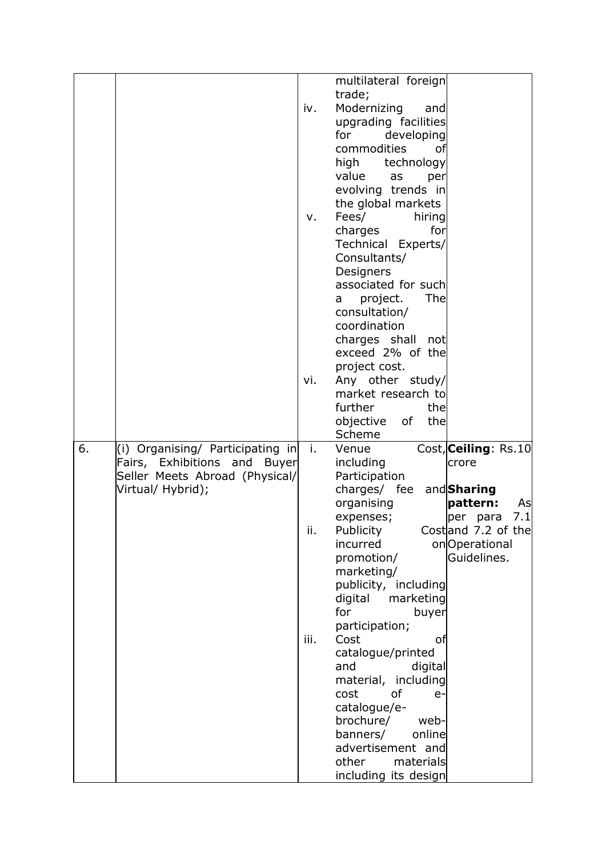|    |                                                                          |      | multilateral foreign<br>trade;          |                      |
|----|--------------------------------------------------------------------------|------|-----------------------------------------|----------------------|
|    |                                                                          | iv.  | Modernizing<br>and                      |                      |
|    |                                                                          |      | upgrading facilities                    |                      |
|    |                                                                          |      | for<br>developing                       |                      |
|    |                                                                          |      | commodities<br>οf                       |                      |
|    |                                                                          |      | high technology                         |                      |
|    |                                                                          |      | value<br>as<br>per                      |                      |
|    |                                                                          |      | evolving trends in                      |                      |
|    |                                                                          |      | the global markets                      |                      |
|    |                                                                          | v.   | Fees/<br>hiring                         |                      |
|    |                                                                          |      | for<br>charges                          |                      |
|    |                                                                          |      | Technical Experts/                      |                      |
|    |                                                                          |      | Consultants/                            |                      |
|    |                                                                          |      | Designers                               |                      |
|    |                                                                          |      | associated for such<br>The              |                      |
|    |                                                                          |      | project.<br>a<br>consultation/          |                      |
|    |                                                                          |      | coordination                            |                      |
|    |                                                                          |      | charges shall not                       |                      |
|    |                                                                          |      | exceed 2% of the                        |                      |
|    |                                                                          |      | project cost.                           |                      |
|    |                                                                          | vi.  | Any other study/                        |                      |
|    |                                                                          |      | market research to                      |                      |
|    |                                                                          |      | further<br>the                          |                      |
|    |                                                                          |      | objective of<br>the                     |                      |
|    |                                                                          |      | Scheme                                  |                      |
| 6. | (i) Organising/ Participating in                                         | j.   | Venue                                   | Cost, Ceiling: Rs.10 |
|    | Fairs, Exhibitions and<br><b>Buyer</b><br>Seller Meets Abroad (Physical/ |      | including<br>Participation              | crore                |
|    | Virtual/ Hybrid);                                                        |      | charges/ fee and Sharing                |                      |
|    |                                                                          |      | organising                              | pattern:<br>As       |
|    |                                                                          |      | expenses;                               | 7.1<br>per para      |
|    |                                                                          | н.   | Publicity                               | Costand 7.2 of the   |
|    |                                                                          |      | incurred                                | onOperational        |
|    |                                                                          |      | promotion/                              | Guidelines.          |
|    |                                                                          |      | marketing/                              |                      |
|    |                                                                          |      | publicity, including                    |                      |
|    |                                                                          |      | digital<br>marketing<br>for<br>buyer    |                      |
|    |                                                                          |      | participation;                          |                      |
|    |                                                                          |      |                                         |                      |
|    |                                                                          |      |                                         |                      |
|    |                                                                          | iii. | Cost<br>οf                              |                      |
|    |                                                                          |      | catalogue/printed<br>and<br>digital     |                      |
|    |                                                                          |      | material, including                     |                      |
|    |                                                                          |      | cost<br>0f<br>e-                        |                      |
|    |                                                                          |      | catalogue/e-                            |                      |
|    |                                                                          |      | brochure/<br>web-                       |                      |
|    |                                                                          |      | banners/<br>online                      |                      |
|    |                                                                          |      | advertisement and<br>other<br>materials |                      |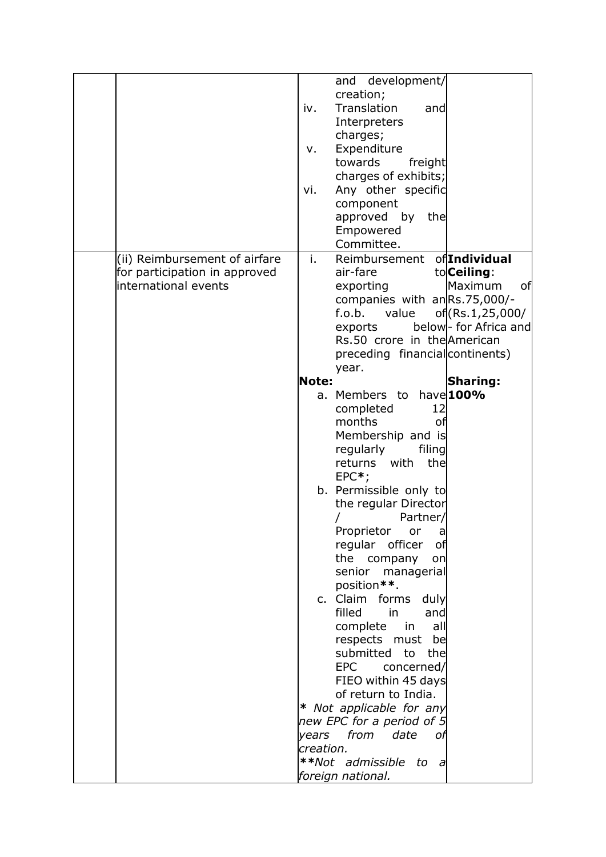|                               | and development/                            |
|-------------------------------|---------------------------------------------|
|                               | creation;                                   |
| iv.                           | Translation<br>and                          |
|                               | Interpreters                                |
|                               | charges;                                    |
|                               | Expenditure<br>v.                           |
|                               | towards<br>freight                          |
|                               | charges of exhibits;                        |
| vi.                           | Any other specific                          |
|                               | component                                   |
|                               | approved by the                             |
|                               | Empowered                                   |
|                               | Committee.                                  |
| (ii) Reimbursement of airfare | of <i>Individual</i><br>i.<br>Reimbursement |
| for participation in approved | air-fare<br>to <b>Ceiling</b> :             |
| international events          | of<br>Maximum<br>exporting                  |
|                               | companies with anRs.75,000/-                |
|                               | f.o.b.<br>of (Rs.1,25,000/<br>value         |
|                               | below- for Africa and<br>exports            |
|                               | Rs.50 crore in the American                 |
|                               | preceding financial continents)             |
|                               | year.                                       |
|                               | Note:<br><b>Sharing:</b>                    |
|                               | have 100%<br>a. Members to                  |
|                               | completed<br>12                             |
|                               | months<br>of                                |
|                               | Membership and is                           |
|                               | regularly<br>filing                         |
|                               | with<br>the<br>returns                      |
|                               | $EPC*$ ;                                    |
|                               | b. Permissible only to                      |
|                               | the regular Director                        |
|                               | Partner/                                    |
|                               | Proprietor or<br>a                          |
|                               | regular officer<br>of                       |
|                               | the company<br>on                           |
|                               | senior managerial                           |
|                               | position**.                                 |
|                               | c. Claim forms<br>duly                      |
|                               | filled<br><b>in</b><br>and                  |
|                               | complete<br>in<br>all                       |
|                               | respects must be<br>submitted               |
|                               | to<br>the<br><b>EPC</b>                     |
|                               | concerned/<br>FIEO within 45 days           |
|                               | of return to India.                         |
|                               | * Not applicable for any                    |
|                               | new EPC for a period of 5                   |
|                               | years from date<br>оf                       |
|                               | creation.                                   |
|                               | **Not admissible                            |
|                               | to<br>$\overline{a}$                        |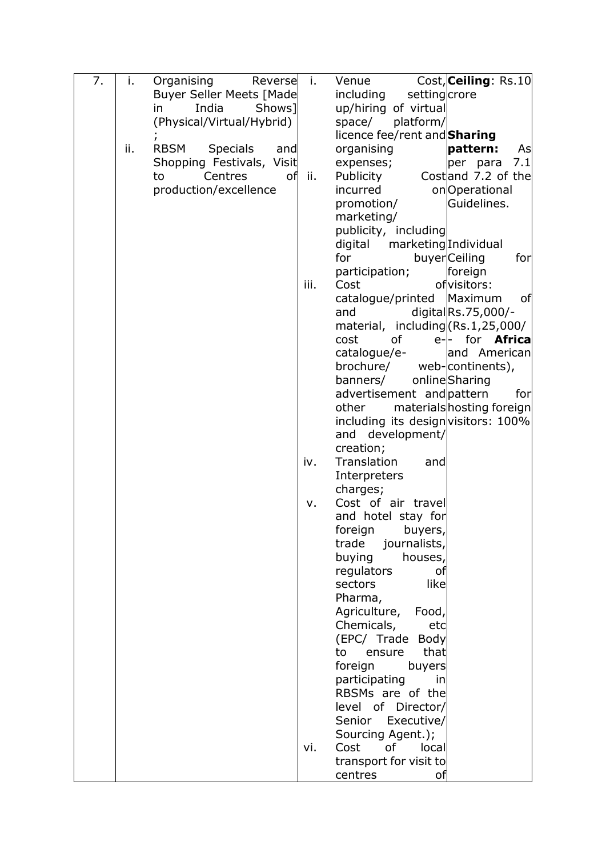| 7. | i.  | Organising<br>Reverse                 | j.   | Cost, Ceiling: Rs.10<br>Venue                                                          |
|----|-----|---------------------------------------|------|----------------------------------------------------------------------------------------|
|    |     | <b>Buyer Seller Meets [Made</b>       |      | including<br>settingcrore                                                              |
|    |     | India<br>Shows <sup>1</sup><br>in     |      | up/hiring of virtual                                                                   |
|    |     | (Physical/Virtual/Hybrid)             |      | platform/<br>space/                                                                    |
|    |     |                                       |      | licence fee/rent and <b>Sharing</b>                                                    |
|    | ii. | <b>RBSM</b><br><b>Specials</b><br>and |      | organising<br>pattern:<br>As                                                           |
|    |     | Shopping Festivals, Visit             |      | 7.1<br>expenses;<br>per para                                                           |
|    |     | Centres<br>of<br>to                   | ii.  | Costand 7.2 of the<br>Publicity                                                        |
|    |     | production/excellence                 |      | onOperational<br>incurred                                                              |
|    |     |                                       |      | promotion/<br>Guidelines.                                                              |
|    |     |                                       |      | marketing/                                                                             |
|    |     |                                       |      | publicity, including                                                                   |
|    |     |                                       |      | marketing Individual<br>digital                                                        |
|    |     |                                       |      | for<br>buyerCeiling<br>forl                                                            |
|    |     |                                       |      | foreign<br>participation;                                                              |
|    |     |                                       | iii. | Cost<br>of visitors:                                                                   |
|    |     |                                       |      | Maximum<br>of<br>catalogue/printed                                                     |
|    |     |                                       |      | digitalRs.75,000/-<br>and                                                              |
|    |     |                                       |      | material, including (Rs.1,25,000/<br>for <b>Africa</b><br>of<br>cost<br>$e$ - $\vdash$ |
|    |     |                                       |      | catalogue/e-<br>and American                                                           |
|    |     |                                       |      | brochure/<br>web-continents),                                                          |
|    |     |                                       |      | onlineSharing<br>banners/                                                              |
|    |     |                                       |      | advertisement and pattern<br>forl                                                      |
|    |     |                                       |      | materials hosting foreign<br>other                                                     |
|    |     |                                       |      | including its design visitors: 100%                                                    |
|    |     |                                       |      | and development/                                                                       |
|    |     |                                       |      | creation;                                                                              |
|    |     |                                       | iv.  | Translation<br>and                                                                     |
|    |     |                                       |      | Interpreters                                                                           |
|    |     |                                       |      | charges;                                                                               |
|    |     |                                       | ν.   | Cost of air travel                                                                     |
|    |     |                                       |      | and hotel stay for                                                                     |
|    |     |                                       |      | foreign<br>buyers,                                                                     |
|    |     |                                       |      | trade<br>journalists,                                                                  |
|    |     |                                       |      | buying<br>houses,                                                                      |
|    |     |                                       |      | regulators<br>оf                                                                       |
|    |     |                                       |      | sectors<br>like<br>Pharma,                                                             |
|    |     |                                       |      | Agriculture,<br>Food,                                                                  |
|    |     |                                       |      | Chemicals,<br>etc                                                                      |
|    |     |                                       |      | (EPC/ Trade<br>Body                                                                    |
|    |     |                                       |      | that<br>to<br>ensure                                                                   |
|    |     |                                       |      | foreign<br>buyers                                                                      |
|    |     |                                       |      | participating<br>in                                                                    |
|    |     |                                       |      | RBSMs are of the                                                                       |
|    |     |                                       |      | level of Director/                                                                     |
|    |     |                                       |      | Senior Executive/                                                                      |
|    |     |                                       |      | Sourcing Agent.);                                                                      |
|    |     |                                       | vi.  | <b>of</b><br>Cost<br>local                                                             |
|    |     |                                       |      | transport for visit to                                                                 |
|    |     |                                       |      | centres<br>οf                                                                          |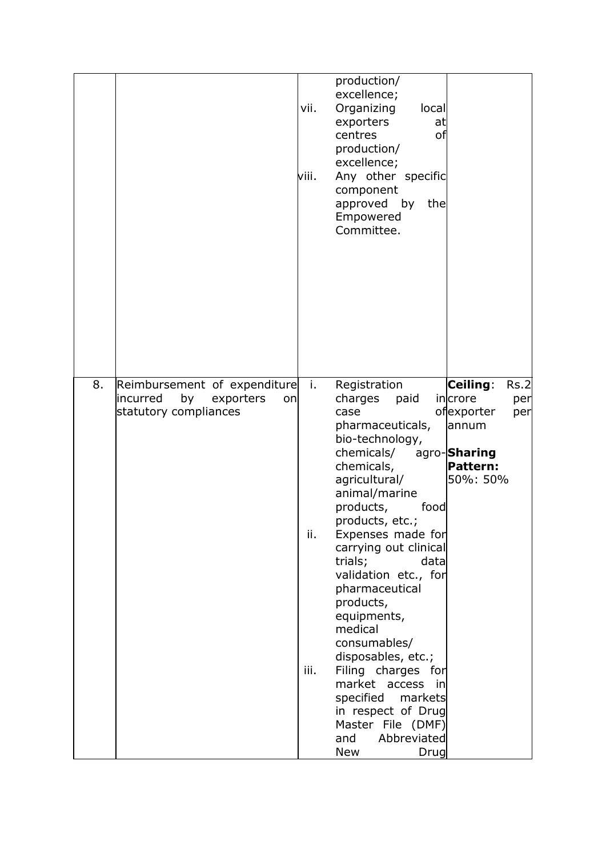|                                                                                                  | vii.<br>viii.     | production/<br>excellence;<br>Organizing<br>local<br>exporters<br>at<br>centres<br>οf<br>production/<br>excellence;<br>Any other specific<br>component<br>approved by<br>the<br>Empowered<br>Committee.                                                                                                                                                                                                                                                                                                                                |                                                                                                                 |
|--------------------------------------------------------------------------------------------------|-------------------|----------------------------------------------------------------------------------------------------------------------------------------------------------------------------------------------------------------------------------------------------------------------------------------------------------------------------------------------------------------------------------------------------------------------------------------------------------------------------------------------------------------------------------------|-----------------------------------------------------------------------------------------------------------------|
| 8.<br>Reimbursement of expenditure<br>incurred<br>by<br>exporters<br>on<br>statutory compliances | j.<br>ii.<br>iii. | Registration<br>charges<br>paid<br>case<br>pharmaceuticals,<br>bio-technology,<br>chemicals/<br>chemicals,<br>agricultural/<br>animal/marine<br>products,<br>food<br>products, etc.;<br>Expenses made for<br>carrying out clinical<br>trials;<br>datal<br>validation etc., for<br>pharmaceutical<br>products,<br>equipments,<br>medical<br>consumables/<br>disposables, etc.;<br>Filing charges for<br>market access in<br>specified<br>markets<br>in respect of Drug<br>Master File (DMF)<br>and<br>Abbreviated<br><b>New</b><br>Drug | Ceiling:<br>Rs.2<br>incrore<br>per<br>ofexporter<br>per<br>annum<br>agro-Sharing<br><b>Pattern:</b><br>50%: 50% |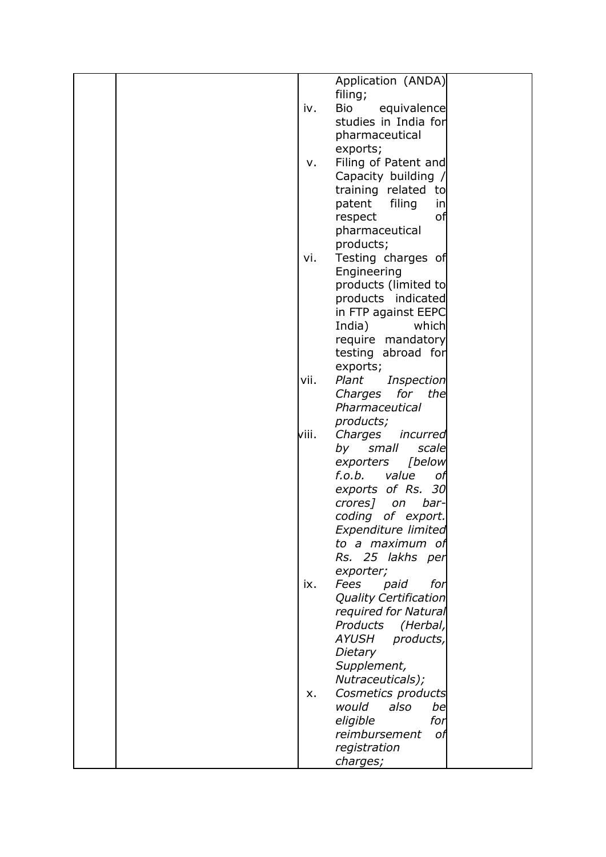|  |       | Application (ANDA)           |  |
|--|-------|------------------------------|--|
|  |       | filing;                      |  |
|  | iv.   | <b>Bio</b><br>equivalence    |  |
|  |       | studies in India for         |  |
|  |       | pharmaceutical               |  |
|  |       |                              |  |
|  |       | exports;                     |  |
|  | v.    | Filing of Patent and         |  |
|  |       | Capacity building /          |  |
|  |       | training related to          |  |
|  |       | patent filing<br>in          |  |
|  |       | respect<br>οf                |  |
|  |       |                              |  |
|  |       | pharmaceutical               |  |
|  |       | products;                    |  |
|  | vi.   | Testing charges of           |  |
|  |       | Engineering                  |  |
|  |       | products (limited to         |  |
|  |       | products indicated           |  |
|  |       |                              |  |
|  |       | in FTP against EEPC          |  |
|  |       | India)<br>which              |  |
|  |       | require mandatory            |  |
|  |       | testing abroad for           |  |
|  |       | exports;                     |  |
|  | vii.  | Plant<br>Inspection          |  |
|  |       | Charges for the              |  |
|  |       |                              |  |
|  |       | Pharmaceutical               |  |
|  |       | products;                    |  |
|  | viii. | Charges incurred             |  |
|  |       | by<br>small<br>scale         |  |
|  |       | [below<br>exporters          |  |
|  |       | f.o.b.<br>value<br>оf        |  |
|  |       | exports of Rs. 30            |  |
|  |       |                              |  |
|  |       | crores] on<br>bar-           |  |
|  |       | coding of export.            |  |
|  |       | Expenditure limited          |  |
|  |       | to a maximum of              |  |
|  |       | Rs. 25 lakhs per             |  |
|  |       | exporter;                    |  |
|  | ix.   | Fees<br>paid<br>for          |  |
|  |       | <b>Quality Certification</b> |  |
|  |       | required for Natural         |  |
|  |       |                              |  |
|  |       | Products (Herbal,            |  |
|  |       | <b>AYUSH</b><br>products,    |  |
|  |       | Dietary                      |  |
|  |       | Supplement,                  |  |
|  |       | Nutraceuticals);             |  |
|  | X.    | Cosmetics products           |  |
|  |       | would<br>also<br>be          |  |
|  |       |                              |  |
|  |       | eligible<br>for              |  |
|  |       | reimbursement<br>оf          |  |
|  |       | registration                 |  |
|  |       | charges;                     |  |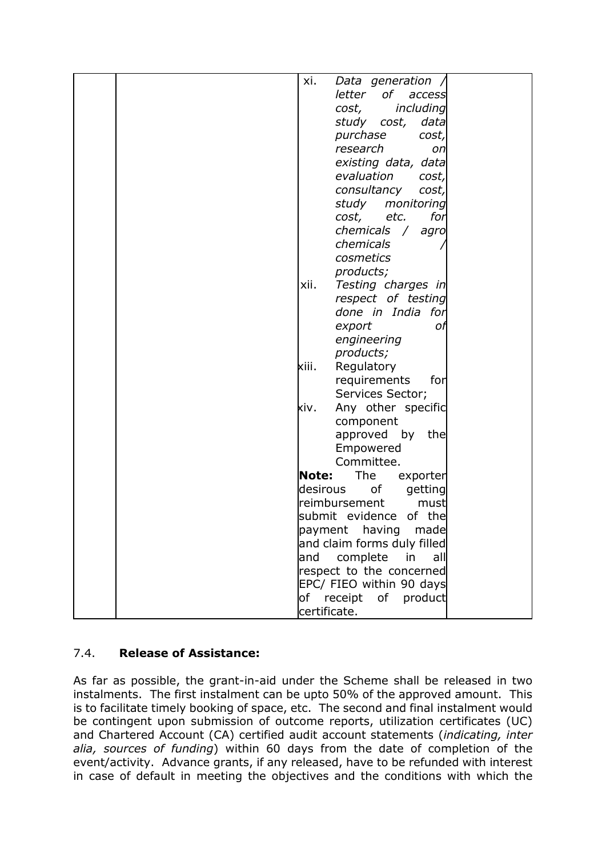| xi.          | Data generation /               |  |
|--------------|---------------------------------|--|
|              | of<br>letter<br>access          |  |
|              | cost,                           |  |
|              | including                       |  |
|              | study cost,<br>data             |  |
|              | purchase<br>cost,               |  |
|              | research<br>on                  |  |
|              | existing data, data             |  |
|              | evaluation<br>cost,             |  |
|              | consultancy<br>cost,            |  |
|              | study monitoring                |  |
|              | etc.<br>for<br>cost,            |  |
|              | chemicals<br>$\sqrt{2}$<br>agro |  |
|              | chemicals                       |  |
|              | cosmetics                       |  |
|              | products;                       |  |
| xii.         | Testing charges in              |  |
|              | respect of testing              |  |
|              | done in India for               |  |
|              | export<br>оf                    |  |
|              | engineering                     |  |
|              | products;                       |  |
| kiii.        | Regulatory                      |  |
|              | requirements<br>forl            |  |
|              | Services Sector;                |  |
| xiv.         | Any other specific              |  |
|              | component                       |  |
|              | approved by<br>the              |  |
|              | Empowered                       |  |
|              | Committee.                      |  |
| Note:        | The<br>exporter                 |  |
| desirous     | of<br>getting                   |  |
|              | reimbursement<br>must           |  |
|              | submit evidence of the          |  |
|              | made<br>payment having          |  |
|              | and claim forms duly filled     |  |
| and          | complete<br>in<br>all           |  |
|              | respect to the concerned        |  |
|              | EPC/ FIEO within 90 days        |  |
| of           | receipt                         |  |
|              | of product                      |  |
| certificate. |                                 |  |

# 7.4. **Release of Assistance:**

As far as possible, the grant-in-aid under the Scheme shall be released in two instalments. The first instalment can be upto 50% of the approved amount. This is to facilitate timely booking of space, etc. The second and final instalment would be contingent upon submission of outcome reports, utilization certificates (UC) and Chartered Account (CA) certified audit account statements (*indicating, inter alia, sources of funding*) within 60 days from the date of completion of the event/activity. Advance grants, if any released, have to be refunded with interest in case of default in meeting the objectives and the conditions with which the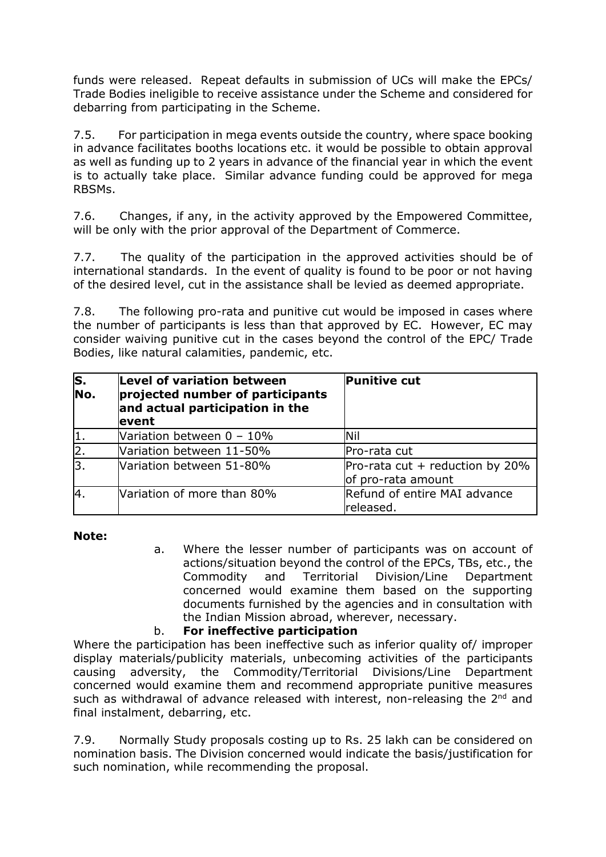funds were released. Repeat defaults in submission of UCs will make the EPCs/ Trade Bodies ineligible to receive assistance under the Scheme and considered for debarring from participating in the Scheme.

7.5. For participation in mega events outside the country, where space booking in advance facilitates booths locations etc. it would be possible to obtain approval as well as funding up to 2 years in advance of the financial year in which the event is to actually take place. Similar advance funding could be approved for mega RBSMs.

7.6. Changes, if any, in the activity approved by the Empowered Committee, will be only with the prior approval of the Department of Commerce.

7.7. The quality of the participation in the approved activities should be of international standards. In the event of quality is found to be poor or not having of the desired level, cut in the assistance shall be levied as deemed appropriate.

7.8. The following pro-rata and punitive cut would be imposed in cases where the number of participants is less than that approved by EC. However, EC may consider waiving punitive cut in the cases beyond the control of the EPC/ Trade Bodies, like natural calamities, pandemic, etc.

| $\overline{\mathsf{s}}$ .<br>No. | Level of variation between<br>projected number of participants<br>and actual participation in the<br>event | <b>Punitive cut</b>                                     |
|----------------------------------|------------------------------------------------------------------------------------------------------------|---------------------------------------------------------|
| 11.                              | Variation between $0 - 10\%$                                                                               | Nil                                                     |
| $\overline{2}$ .                 | Variation between 11-50%                                                                                   | Pro-rata cut                                            |
| l3.                              | Wariation between 51-80%                                                                                   | Pro-rata cut $+$ reduction by 20%<br>of pro-rata amount |
| 4.                               | Variation of more than 80%                                                                                 | Refund of entire MAI advance<br>released.               |

**Note:**

a. Where the lesser number of participants was on account of actions/situation beyond the control of the EPCs, TBs, etc., the Commodity and Territorial Division/Line Department concerned would examine them based on the supporting documents furnished by the agencies and in consultation with the Indian Mission abroad, wherever, necessary.

# b. **For ineffective participation**

Where the participation has been ineffective such as inferior quality of/ improper display materials/publicity materials, unbecoming activities of the participants causing adversity, the Commodity/Territorial Divisions/Line Department concerned would examine them and recommend appropriate punitive measures such as withdrawal of advance released with interest, non-releasing the 2<sup>nd</sup> and final instalment, debarring, etc.

7.9. Normally Study proposals costing up to Rs. 25 lakh can be considered on nomination basis. The Division concerned would indicate the basis/justification for such nomination, while recommending the proposal.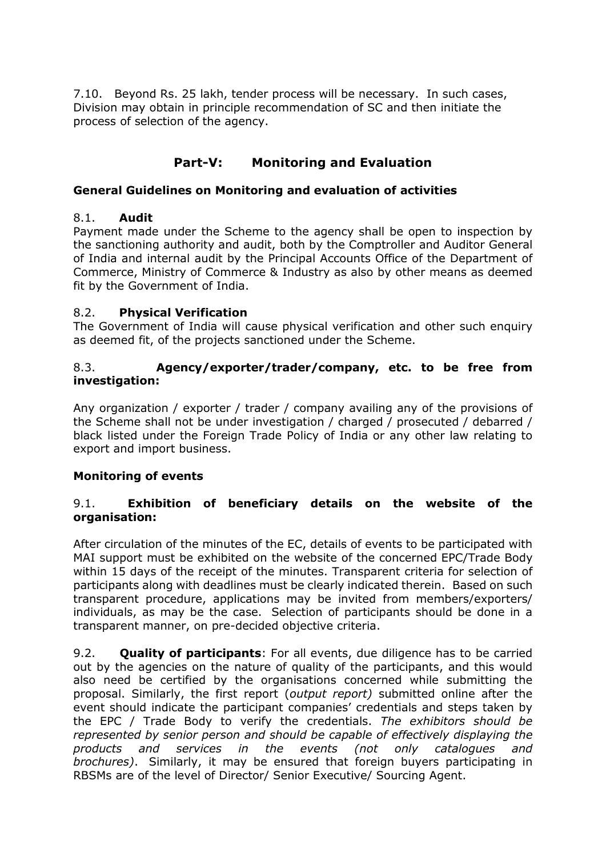7.10. Beyond Rs. 25 lakh, tender process will be necessary. In such cases, Division may obtain in principle recommendation of SC and then initiate the process of selection of the agency.

# **Part-V: Monitoring and Evaluation**

## **General Guidelines on Monitoring and evaluation of activities**

### 8.1. **Audit**

Payment made under the Scheme to the agency shall be open to inspection by the sanctioning authority and audit, both by the Comptroller and Auditor General of India and internal audit by the Principal Accounts Office of the Department of Commerce, Ministry of Commerce & Industry as also by other means as deemed fit by the Government of India.

## 8.2. **Physical Verification**

The Government of India will cause physical verification and other such enquiry as deemed fit, of the projects sanctioned under the Scheme.

#### 8.3. **Agency/exporter/trader/company, etc. to be free from investigation:**

Any organization / exporter / trader / company availing any of the provisions of the Scheme shall not be under investigation / charged / prosecuted / debarred / black listed under the Foreign Trade Policy of India or any other law relating to export and import business.

#### **Monitoring of events**

## 9.1. **Exhibition of beneficiary details on the website of the organisation:**

After circulation of the minutes of the EC, details of events to be participated with MAI support must be exhibited on the website of the concerned EPC/Trade Body within 15 days of the receipt of the minutes. Transparent criteria for selection of participants along with deadlines must be clearly indicated therein. Based on such transparent procedure, applications may be invited from members/exporters/ individuals, as may be the case. Selection of participants should be done in a transparent manner, on pre-decided objective criteria.

9.2. **Quality of participants**: For all events, due diligence has to be carried out by the agencies on the nature of quality of the participants, and this would also need be certified by the organisations concerned while submitting the proposal. Similarly, the first report (*output report)* submitted online after the event should indicate the participant companies' credentials and steps taken by the EPC / Trade Body to verify the credentials. *The exhibitors should be represented by senior person and should be capable of effectively displaying the products and services in the events (not only catalogues and brochures)*. Similarly, it may be ensured that foreign buyers participating in RBSMs are of the level of Director/ Senior Executive/ Sourcing Agent.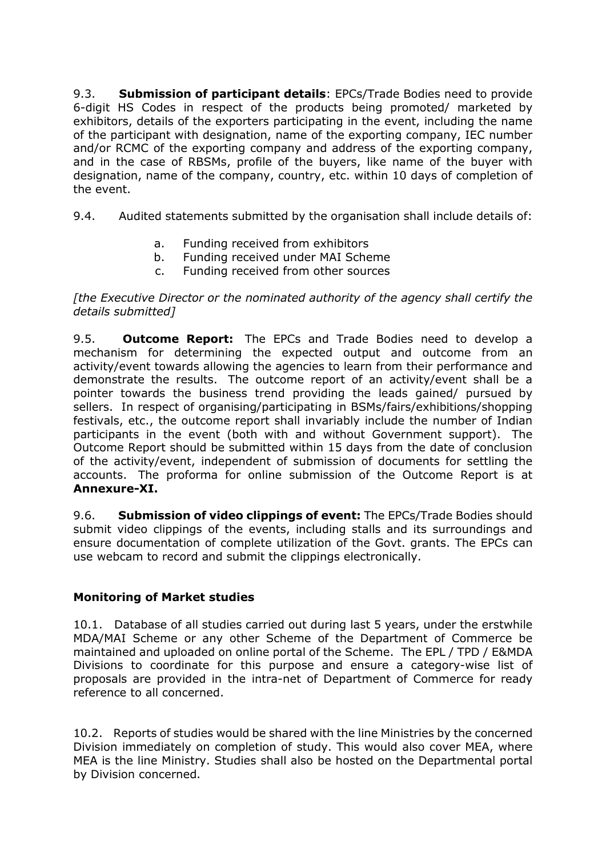9.3. **Submission of participant details**: EPCs/Trade Bodies need to provide 6-digit HS Codes in respect of the products being promoted/ marketed by exhibitors, details of the exporters participating in the event, including the name of the participant with designation, name of the exporting company, IEC number and/or RCMC of the exporting company and address of the exporting company, and in the case of RBSMs, profile of the buyers, like name of the buyer with designation, name of the company, country, etc. within 10 days of completion of the event.

9.4. Audited statements submitted by the organisation shall include details of:

- a. Funding received from exhibitors
- b. Funding received under MAI Scheme
- c. Funding received from other sources

*[the Executive Director or the nominated authority of the agency shall certify the details submitted]* 

9.5. **Outcome Report:** The EPCs and Trade Bodies need to develop a mechanism for determining the expected output and outcome from an activity/event towards allowing the agencies to learn from their performance and demonstrate the results. The outcome report of an activity/event shall be a pointer towards the business trend providing the leads gained/ pursued by sellers. In respect of organising/participating in BSMs/fairs/exhibitions/shopping festivals, etc., the outcome report shall invariably include the number of Indian participants in the event (both with and without Government support). The Outcome Report should be submitted within 15 days from the date of conclusion of the activity/event, independent of submission of documents for settling the accounts. The proforma for online submission of the Outcome Report is at **Annexure-XI.**

9.6. **Submission of video clippings of event:** The EPCs/Trade Bodies should submit video clippings of the events, including stalls and its surroundings and ensure documentation of complete utilization of the Govt. grants. The EPCs can use webcam to record and submit the clippings electronically.

# **Monitoring of Market studies**

10.1. Database of all studies carried out during last 5 years, under the erstwhile MDA/MAI Scheme or any other Scheme of the Department of Commerce be maintained and uploaded on online portal of the Scheme. The EPL / TPD / E&MDA Divisions to coordinate for this purpose and ensure a category-wise list of proposals are provided in the intra-net of Department of Commerce for ready reference to all concerned.

10.2. Reports of studies would be shared with the line Ministries by the concerned Division immediately on completion of study. This would also cover MEA, where MEA is the line Ministry. Studies shall also be hosted on the Departmental portal by Division concerned.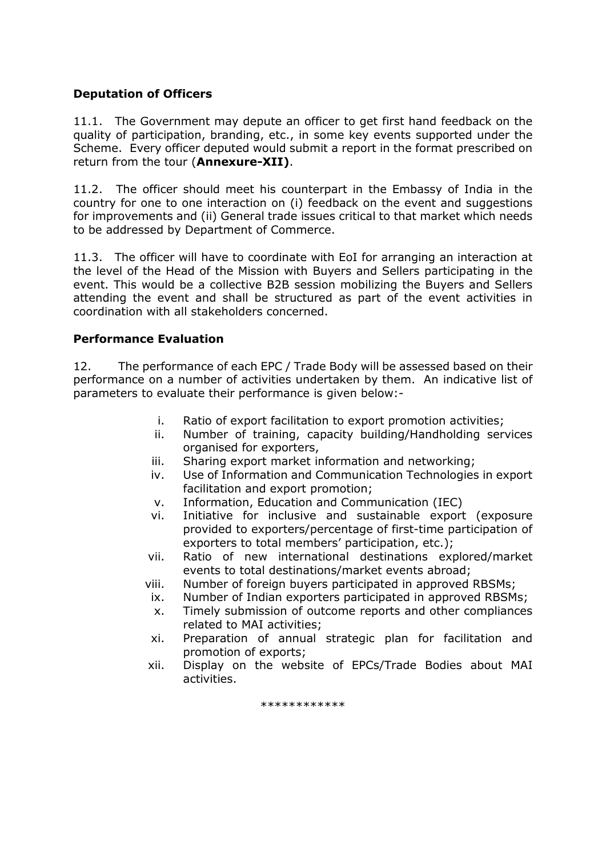#### **Deputation of Officers**

11.1. The Government may depute an officer to get first hand feedback on the quality of participation, branding, etc., in some key events supported under the Scheme. Every officer deputed would submit a report in the format prescribed on return from the tour (**Annexure-XII)**.

11.2. The officer should meet his counterpart in the Embassy of India in the country for one to one interaction on (i) feedback on the event and suggestions for improvements and (ii) General trade issues critical to that market which needs to be addressed by Department of Commerce.

11.3. The officer will have to coordinate with EoI for arranging an interaction at the level of the Head of the Mission with Buyers and Sellers participating in the event. This would be a collective B2B session mobilizing the Buyers and Sellers attending the event and shall be structured as part of the event activities in coordination with all stakeholders concerned.

#### **Performance Evaluation**

12. The performance of each EPC / Trade Body will be assessed based on their performance on a number of activities undertaken by them. An indicative list of parameters to evaluate their performance is given below:-

- i. Ratio of export facilitation to export promotion activities;
- ii. Number of training, capacity building/Handholding services organised for exporters,
- iii. Sharing export market information and networking;
- iv. Use of Information and Communication Technologies in export facilitation and export promotion;
- v. Information, Education and Communication (IEC)
- vi. Initiative for inclusive and sustainable export (exposure provided to exporters/percentage of first-time participation of exporters to total members' participation, etc.);
- vii. Ratio of new international destinations explored/market events to total destinations/market events abroad;
- viii. Number of foreign buyers participated in approved RBSMs;
- ix. Number of Indian exporters participated in approved RBSMs;
- x. Timely submission of outcome reports and other compliances related to MAI activities;
- xi. Preparation of annual strategic plan for facilitation and promotion of exports;
- xii. Display on the website of EPCs/Trade Bodies about MAI activities.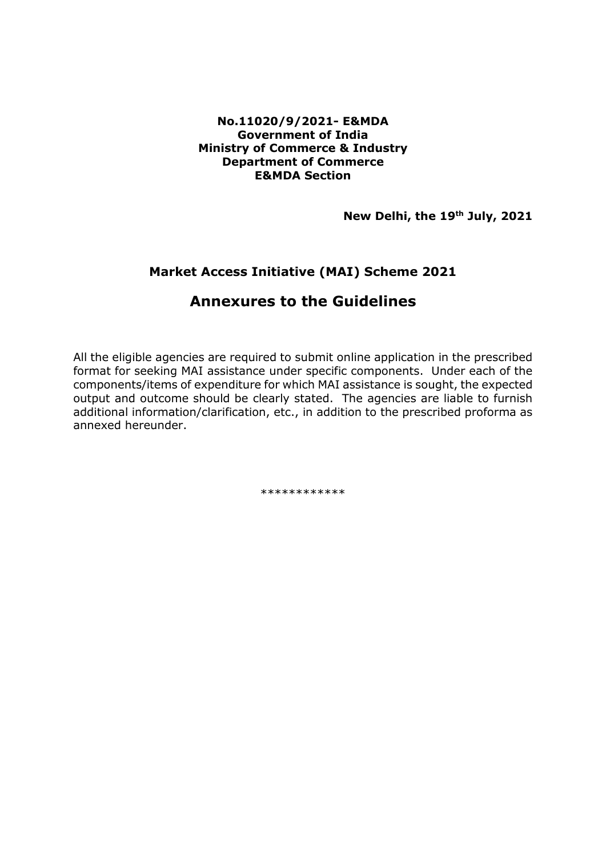#### **No.11020/9/2021- E&MDA Government of India Ministry of Commerce & Industry Department of Commerce E&MDA Section**

**New Delhi, the 19th July, 2021**

# **Market Access Initiative (MAI) Scheme 2021**

# **Annexures to the Guidelines**

All the eligible agencies are required to submit online application in the prescribed format for seeking MAI assistance under specific components. Under each of the components/items of expenditure for which MAI assistance is sought, the expected output and outcome should be clearly stated. The agencies are liable to furnish additional information/clarification, etc., in addition to the prescribed proforma as annexed hereunder.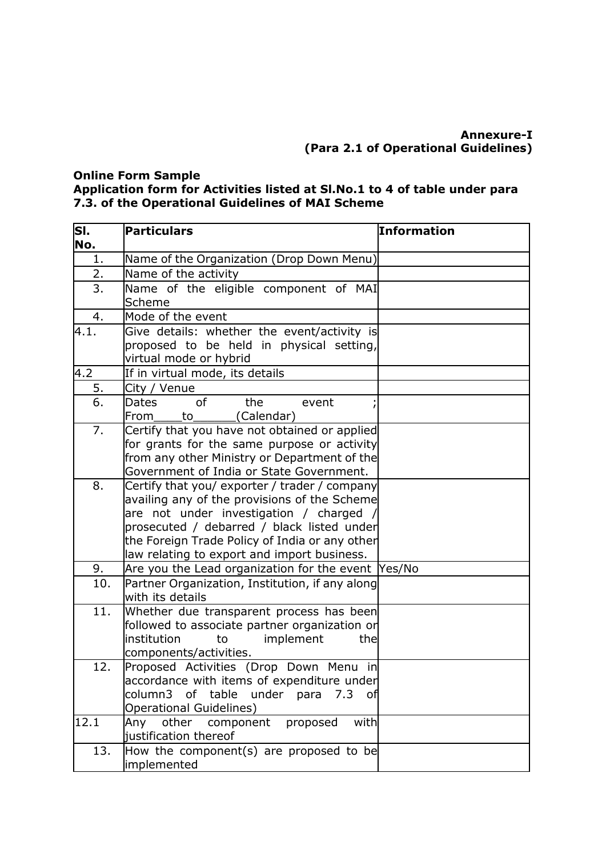# **Annexure-I (Para 2.1 of Operational Guidelines)**

#### **Online Form Sample**

#### **Application form for Activities listed at Sl.No.1 to 4 of table under para 7.3. of the Operational Guidelines of MAI Scheme**

| SI.<br>No. | <b>Particulars</b>                                                                                                                                                                                                                                                                    | Information |
|------------|---------------------------------------------------------------------------------------------------------------------------------------------------------------------------------------------------------------------------------------------------------------------------------------|-------------|
| $1$ .      | Name of the Organization (Drop Down Menu)                                                                                                                                                                                                                                             |             |
| 2.         | Name of the activity                                                                                                                                                                                                                                                                  |             |
| 3.         | Name of the eligible component of MAI<br>Scheme                                                                                                                                                                                                                                       |             |
| 4.         | Mode of the event                                                                                                                                                                                                                                                                     |             |
| 4.1.       | Give details: whether the event/activity is                                                                                                                                                                                                                                           |             |
|            | proposed to be held in physical setting,<br>virtual mode or hybrid                                                                                                                                                                                                                    |             |
| 4.2        | If in virtual mode, its details                                                                                                                                                                                                                                                       |             |
| 5.         | City / Venue                                                                                                                                                                                                                                                                          |             |
| 6.         | <b>of</b><br>the<br>Dates<br>event<br>(Calendar)<br>From<br>to                                                                                                                                                                                                                        |             |
| 7.         | Certify that you have not obtained or applied<br>for grants for the same purpose or activity<br>from any other Ministry or Department of the<br>Government of India or State Government.                                                                                              |             |
| 8.         | Certify that you/ exporter / trader / company<br>availing any of the provisions of the Scheme<br>are not under investigation / charged<br>prosecuted / debarred / black listed under<br>the Foreign Trade Policy of India or any other<br>law relating to export and import business. |             |
| 9.         | Are you the Lead organization for the event Yes/No                                                                                                                                                                                                                                    |             |
| 10.        | Partner Organization, Institution, if any along<br>with its details                                                                                                                                                                                                                   |             |
| 11.        | Whether due transparent process has been<br>followed to associate partner organization or<br>institution<br>implement<br>to<br>the<br>components/activities.                                                                                                                          |             |
| 12.        | Proposed Activities (Drop Down Menu in<br>accordance with items of expenditure under<br>column3 of table under para 7.3 of<br><b>Operational Guidelines)</b>                                                                                                                          |             |
| 12.1       | component<br>with<br>Any<br>other<br>proposed<br>justification thereof                                                                                                                                                                                                                |             |
| 13.        | How the component(s) are proposed to be<br>implemented                                                                                                                                                                                                                                |             |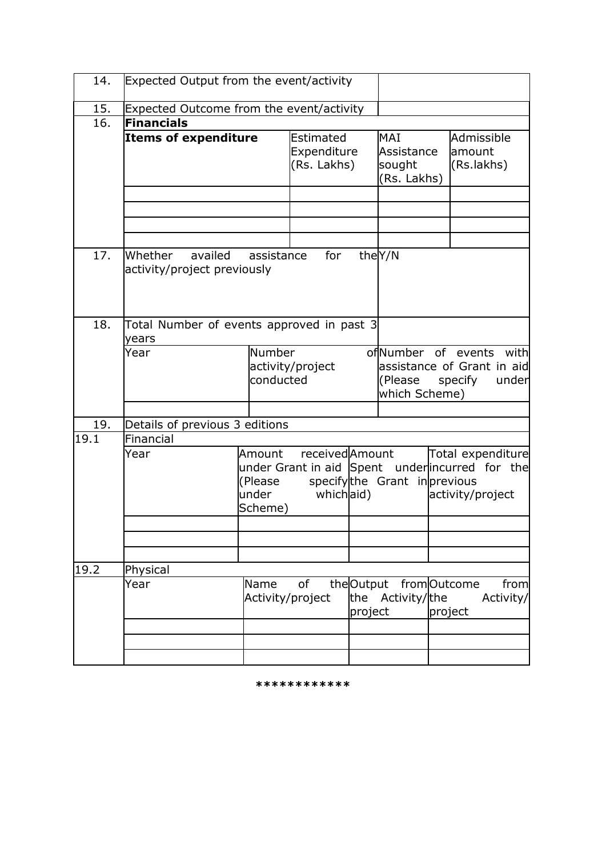| 14.  | Expected Output from the event/activity            |                                         |                                         |         |                                            |         |                                                                                          |  |
|------|----------------------------------------------------|-----------------------------------------|-----------------------------------------|---------|--------------------------------------------|---------|------------------------------------------------------------------------------------------|--|
| 15.  | Expected Outcome from the event/activity           |                                         |                                         |         |                                            |         |                                                                                          |  |
| 16.  | Financials                                         |                                         |                                         |         |                                            |         |                                                                                          |  |
|      | <b>Items of expenditure</b>                        |                                         | Estimated<br>Expenditure<br>(Rs. Lakhs) |         | MAI<br>Assistance<br>sought<br>(Rs. Lakhs) |         | Admissible<br>lamount<br>(Rs.lakhs)                                                      |  |
|      |                                                    |                                         |                                         |         |                                            |         |                                                                                          |  |
| 17.  | Whether<br>availed<br>activity/project previously  | assistance                              | for                                     |         | the Y/N                                    |         |                                                                                          |  |
| 18.  | Total Number of events approved in past 3<br>years |                                         |                                         |         |                                            |         |                                                                                          |  |
|      | Year                                               | Number<br>activity/project<br>conducted |                                         |         | ofNumber<br>(Please<br>which Scheme)       | of      | events<br>with<br>assistance of Grant in aid<br>specify<br>under                         |  |
|      |                                                    |                                         |                                         |         |                                            |         |                                                                                          |  |
| 19.  | Details of previous 3 editions                     |                                         |                                         |         |                                            |         |                                                                                          |  |
| 19.1 | Financial                                          |                                         |                                         |         |                                            |         |                                                                                          |  |
|      | Year                                               | Amount<br>(Please<br>under<br>Scheme)   | received Amount<br>whichaid)            |         | specifythe Grant inprevious                |         | Total expenditure<br>under Grant in aid Spent under incurred for the<br>activity/project |  |
|      |                                                    |                                         |                                         |         |                                            |         |                                                                                          |  |
|      |                                                    |                                         |                                         |         |                                            |         |                                                                                          |  |
| 19.2 | Physical                                           |                                         |                                         |         |                                            |         |                                                                                          |  |
|      | Year                                               | Name<br>Activity/project                | of                                      | project | theOutput fromOutcome<br>the Activity/the  | project | from<br>Activity/                                                                        |  |
|      |                                                    |                                         |                                         |         |                                            |         |                                                                                          |  |
|      |                                                    |                                         |                                         |         |                                            |         |                                                                                          |  |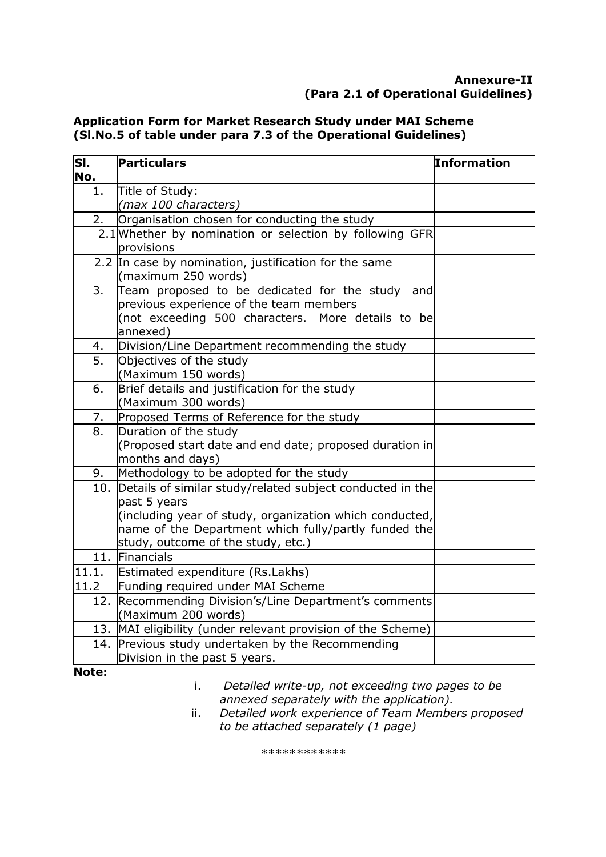# **Annexure-II (Para 2.1 of Operational Guidelines)**

#### **Application Form for Market Research Study under MAI Scheme (Sl.No.5 of table under para 7.3 of the Operational Guidelines)**

| SI.<br>No.       | Particulars                                                                                                                                                                                                                            | <b>Information</b> |
|------------------|----------------------------------------------------------------------------------------------------------------------------------------------------------------------------------------------------------------------------------------|--------------------|
| 1.               | Title of Study:<br>(max 100 characters)                                                                                                                                                                                                |                    |
| 2.               | Organisation chosen for conducting the study                                                                                                                                                                                           |                    |
|                  | 2.1 Whether by nomination or selection by following GFR<br>provisions                                                                                                                                                                  |                    |
|                  | 2.2 In case by nomination, justification for the same<br>(maximum 250 words)                                                                                                                                                           |                    |
| 3.               | Team proposed to be dedicated for the study and<br>previous experience of the team members<br>(not exceeding 500 characters. More details to be<br>annexed)                                                                            |                    |
| 4.               | Division/Line Department recommending the study                                                                                                                                                                                        |                    |
| $\overline{5}$ . | Objectives of the study<br>(Maximum 150 words)                                                                                                                                                                                         |                    |
| 6.               | Brief details and justification for the study<br>(Maximum 300 words)                                                                                                                                                                   |                    |
| 7.               | Proposed Terms of Reference for the study                                                                                                                                                                                              |                    |
| 8.               | Duration of the study<br>(Proposed start date and end date; proposed duration in<br>months and days)                                                                                                                                   |                    |
| 9.               | Methodology to be adopted for the study                                                                                                                                                                                                |                    |
|                  | 10. Details of similar study/related subject conducted in the<br>past 5 years<br>(including year of study, organization which conducted,<br>name of the Department which fully/partly funded the<br>study, outcome of the study, etc.) |                    |
|                  | 11. Financials                                                                                                                                                                                                                         |                    |
| 11.1.            | Estimated expenditure (Rs.Lakhs)                                                                                                                                                                                                       |                    |
| 11.2             | Funding required under MAI Scheme                                                                                                                                                                                                      |                    |
| 12.              | Recommending Division's/Line Department's comments<br>(Maximum 200 words)                                                                                                                                                              |                    |
|                  | 13. MAI eligibility (under relevant provision of the Scheme)                                                                                                                                                                           |                    |
|                  | 14. Previous study undertaken by the Recommending<br>Division in the past 5 years.                                                                                                                                                     |                    |
| $\mathbf{M}$     |                                                                                                                                                                                                                                        |                    |

**Note:**

i. *Detailed write-up, not exceeding two pages to be annexed separately with the application).*

ii. *Detailed work experience of Team Members proposed to be attached separately (1 page)*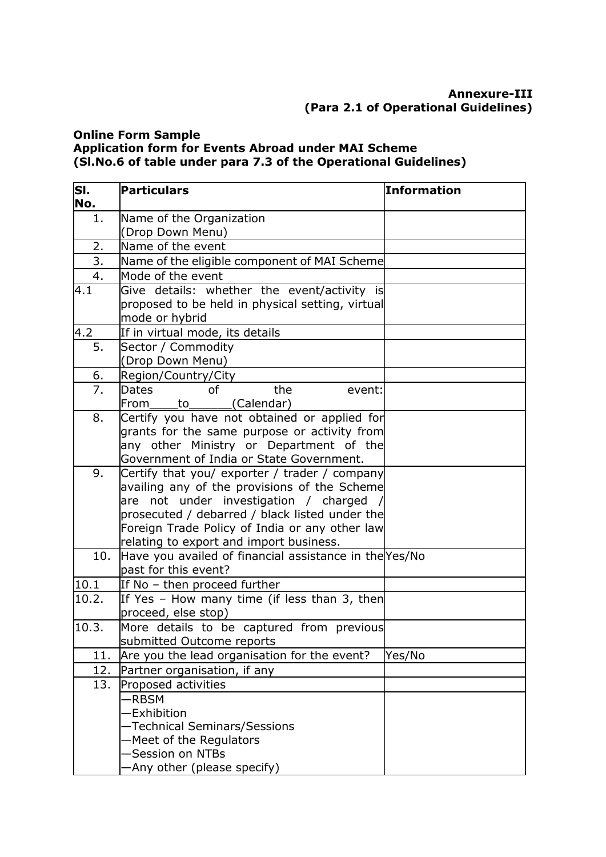# **Annexure-III (Para 2.1 of Operational Guidelines)**

### **Online Form Sample Application form for Events Abroad under MAI Scheme (Sl.No.6 of table under para 7.3 of the Operational Guidelines)**

| SĪ.<br>No. | Particulars                                                                               | <b>Information</b> |
|------------|-------------------------------------------------------------------------------------------|--------------------|
| 1.         | Name of the Organization                                                                  |                    |
|            | (Drop Down Menu)                                                                          |                    |
| 2.         | Name of the event                                                                         |                    |
| 3.         | Name of the eligible component of MAI Scheme                                              |                    |
| 4.         | Mode of the event                                                                         |                    |
| 4.1        | Give details: whether the event/activity is                                               |                    |
|            | proposed to be held in physical setting, virtual                                          |                    |
|            | mode or hybrid                                                                            |                    |
| 4.2        | If in virtual mode, its details                                                           |                    |
| 5.         | Sector / Commodity                                                                        |                    |
|            | (Drop Down Menu)                                                                          |                    |
| 6.         | Region/Country/City                                                                       |                    |
| 7.         | the<br><b>Dates</b><br>of<br>event:                                                       |                    |
|            | From<br>to (Calendar)                                                                     |                    |
| 8.         | Certify you have not obtained or applied for                                              |                    |
|            | grants for the same purpose or activity from                                              |                    |
|            | any other Ministry or Department of the                                                   |                    |
|            | Government of India or State Government.                                                  |                    |
| 9.         | Certify that you/ exporter / trader / company                                             |                    |
|            | availing any of the provisions of the Scheme                                              |                    |
|            | not under investigation / charged<br>lare                                                 |                    |
|            | prosecuted / debarred / black listed under the                                            |                    |
|            | Foreign Trade Policy of India or any other law<br>relating to export and import business. |                    |
| 10.        | Have you availed of financial assistance in the Yes/No                                    |                    |
|            | past for this event?                                                                      |                    |
| 10.1       | If No - then proceed further                                                              |                    |
| 10.2.      | If Yes - How many time (if less than 3, then                                              |                    |
|            | proceed, else stop)                                                                       |                    |
| 10.3.      | More details to be captured from previous                                                 |                    |
|            | submitted Outcome reports                                                                 |                    |
| 11.        | Are you the lead organisation for the event?                                              | Yes/No             |
| 12.        | Partner organisation, if any                                                              |                    |
| 13.        | Proposed activities                                                                       |                    |
|            | -RBSM                                                                                     |                    |
|            | Exhibition                                                                                |                    |
|            | -Technical Seminars/Sessions                                                              |                    |
|            | -Meet of the Regulators                                                                   |                    |
|            | -Session on NTBs                                                                          |                    |
|            | Any other (please specify)                                                                |                    |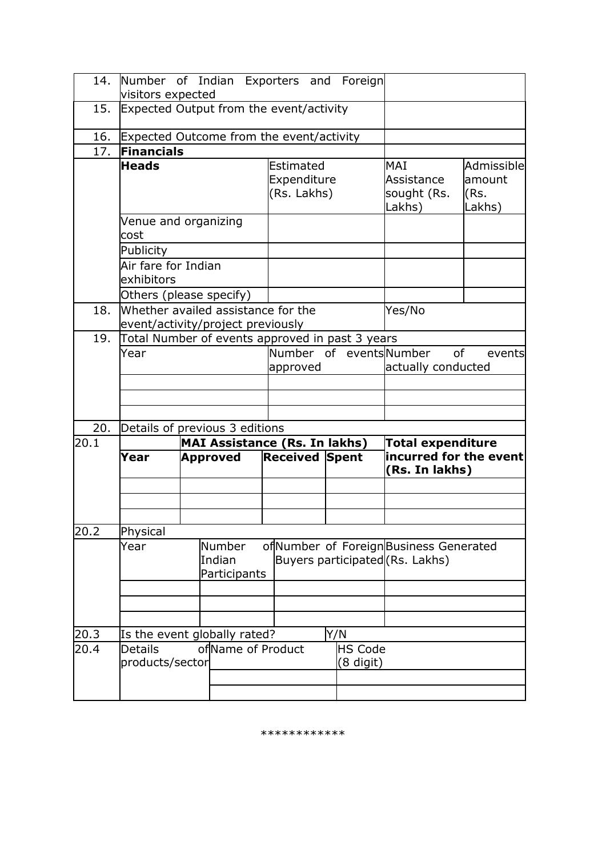| 14.  | Number of Indian Exporters and Foreign<br>visitors expected             |  |                                      |  |                                         |  |                                    |                                                                           |                                         |
|------|-------------------------------------------------------------------------|--|--------------------------------------|--|-----------------------------------------|--|------------------------------------|---------------------------------------------------------------------------|-----------------------------------------|
| 15.  | Expected Output from the event/activity                                 |  |                                      |  |                                         |  |                                    |                                                                           |                                         |
| 16.  | Expected Outcome from the event/activity                                |  |                                      |  |                                         |  |                                    |                                                                           |                                         |
| 17.  | Financials                                                              |  |                                      |  |                                         |  |                                    |                                                                           |                                         |
|      | <b>Heads</b>                                                            |  |                                      |  | Estimated<br>Expenditure<br>(Rs. Lakhs) |  |                                    | MAI<br>Assistance<br>sought (Rs.<br>Lakhs)                                | Admissible<br>lamount<br>(Rs.<br>Lakhs) |
|      | Venue and organizing<br>cost                                            |  |                                      |  |                                         |  |                                    |                                                                           |                                         |
|      | Publicity                                                               |  |                                      |  |                                         |  |                                    |                                                                           |                                         |
|      | Air fare for Indian<br>exhibitors                                       |  |                                      |  |                                         |  |                                    |                                                                           |                                         |
|      | Others (please specify)                                                 |  |                                      |  |                                         |  |                                    |                                                                           |                                         |
| 18.  | Whether availed assistance for the<br>event/activity/project previously |  |                                      |  |                                         |  |                                    | Yes/No                                                                    |                                         |
| 19.  | Total Number of events approved in past 3 years                         |  |                                      |  |                                         |  |                                    |                                                                           |                                         |
|      | Year                                                                    |  |                                      |  | Number of eventsNumber<br>approved      |  | of<br>events<br>actually conducted |                                                                           |                                         |
|      |                                                                         |  |                                      |  |                                         |  |                                    |                                                                           |                                         |
|      |                                                                         |  |                                      |  |                                         |  |                                    |                                                                           |                                         |
|      |                                                                         |  |                                      |  |                                         |  |                                    |                                                                           |                                         |
| 20.  | Details of previous 3 editions                                          |  |                                      |  |                                         |  |                                    |                                                                           |                                         |
| 20.1 |                                                                         |  | <b>MAI Assistance (Rs. In lakhs)</b> |  |                                         |  |                                    | <b>Total expenditure</b>                                                  |                                         |
|      | Year                                                                    |  | <b>Approved</b>                      |  | <b>Received Spent</b>                   |  |                                    | incurred for the event<br>(Rs. In lakhs)                                  |                                         |
|      |                                                                         |  |                                      |  |                                         |  |                                    |                                                                           |                                         |
|      |                                                                         |  |                                      |  |                                         |  |                                    |                                                                           |                                         |
| 20.2 | Physical                                                                |  |                                      |  |                                         |  |                                    |                                                                           |                                         |
|      | Year                                                                    |  | Number<br>Indian<br>Participants     |  |                                         |  |                                    | ofNumber of Foreign Business Generated<br>Buyers participated (Rs. Lakhs) |                                         |
|      |                                                                         |  |                                      |  |                                         |  |                                    |                                                                           |                                         |
|      |                                                                         |  |                                      |  |                                         |  |                                    |                                                                           |                                         |
| 20.3 | Is the event globally rated?                                            |  |                                      |  |                                         |  | Y/N                                |                                                                           |                                         |
| 20.4 | <b>Details</b><br>products/sector                                       |  | of Name of Product                   |  |                                         |  | <b>HS Code</b><br>(8 digit)        |                                                                           |                                         |
|      |                                                                         |  |                                      |  |                                         |  |                                    |                                                                           |                                         |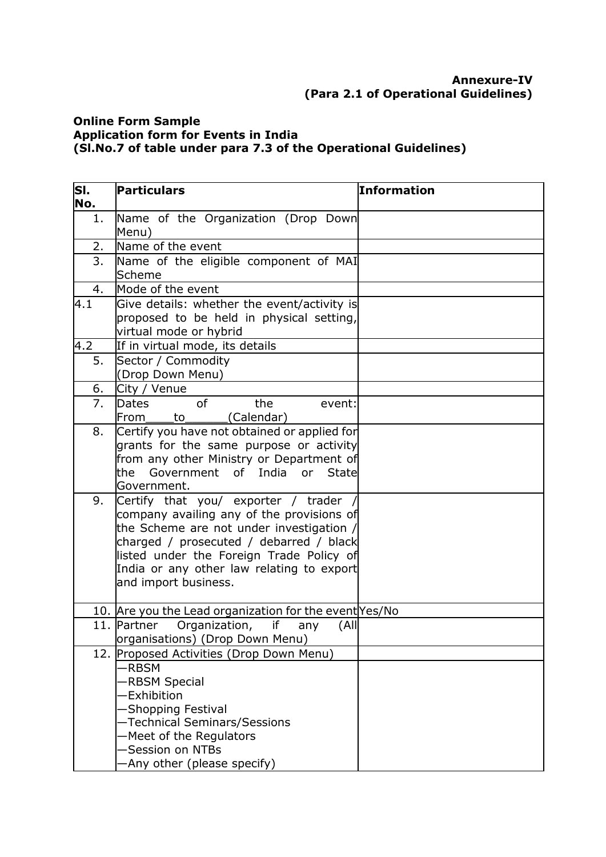#### **Annexure-IV (Para 2.1 of Operational Guidelines)**

#### **Online Form Sample Application form for Events in India (Sl.No.7 of table under para 7.3 of the Operational Guidelines)**

| SI.              | <b>Particulars</b>                                                                                                                                                                                                                                                                       | <b>Information</b> |
|------------------|------------------------------------------------------------------------------------------------------------------------------------------------------------------------------------------------------------------------------------------------------------------------------------------|--------------------|
| No.              |                                                                                                                                                                                                                                                                                          |                    |
| 1.               | Name of the Organization (Drop Down<br>Menu)                                                                                                                                                                                                                                             |                    |
| 2.               | Name of the event                                                                                                                                                                                                                                                                        |                    |
| 3.               | Name of the eligible component of MAI<br>Scheme                                                                                                                                                                                                                                          |                    |
| 4.               | Mode of the event                                                                                                                                                                                                                                                                        |                    |
| 4.1              | Give details: whether the event/activity is<br>proposed to be held in physical setting,<br>virtual mode or hybrid                                                                                                                                                                        |                    |
| $\overline{4.2}$ | If in virtual mode, its details                                                                                                                                                                                                                                                          |                    |
| 5.               | Sector / Commodity<br>(Drop Down Menu)                                                                                                                                                                                                                                                   |                    |
| 6.               | City / Venue                                                                                                                                                                                                                                                                             |                    |
| 7.               | <sub>of</sub><br>the<br>Dates<br>event:<br>(Calendar)<br>From<br>to                                                                                                                                                                                                                      |                    |
| 8.               | Certify you have not obtained or applied for<br>grants for the same purpose or activity<br>from any other Ministry or Department of<br>Government of India<br><b>State</b><br>the<br>or<br>Government.                                                                                   |                    |
| 9.               | Certify that you/ exporter / trader<br>company availing any of the provisions of<br>the Scheme are not under investigation /<br>charged / prosecuted / debarred / black<br>listed under the Foreign Trade Policy of<br>India or any other law relating to export<br>and import business. |                    |
|                  | 10. Are you the Lead organization for the event Yes/No                                                                                                                                                                                                                                   |                    |
|                  | Organization,<br>(A  )<br>11. Partner<br>if<br>any<br>organisations) (Drop Down Menu)                                                                                                                                                                                                    |                    |
|                  | 12. Proposed Activities (Drop Down Menu)<br><b>RBSM</b><br><b>RBSM Special</b><br><b>Exhibition</b><br>-Shopping Festival<br>-Technical Seminars/Sessions<br>-Meet of the Regulators<br>-Session on NTBs                                                                                 |                    |
|                  | -Any other (please specify)                                                                                                                                                                                                                                                              |                    |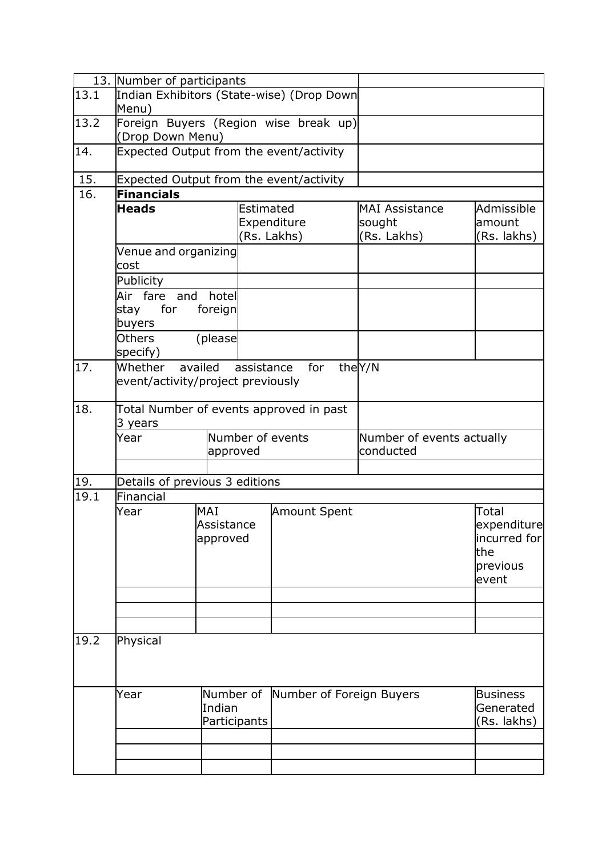|      | 13. Number of participants                |              |            |                                         |                                        |                 |  |
|------|-------------------------------------------|--------------|------------|-----------------------------------------|----------------------------------------|-----------------|--|
| 13.1 | Indian Exhibitors (State-wise) (Drop Down |              |            |                                         |                                        |                 |  |
|      | Menu)                                     |              |            |                                         |                                        |                 |  |
| 13.2 | Foreign Buyers (Region wise break up)     |              |            |                                         |                                        |                 |  |
|      | (Drop Down Menu)                          |              |            |                                         |                                        |                 |  |
| 14.  |                                           |              |            | Expected Output from the event/activity |                                        |                 |  |
| 15.  |                                           |              |            | Expected Output from the event/activity |                                        |                 |  |
| 16.  | <b>Financials</b>                         |              |            |                                         |                                        |                 |  |
|      | <b>Heads</b>                              |              | Estimated  |                                         | <b>MAI Assistance</b>                  | Admissible      |  |
|      |                                           |              |            | Expenditure                             | sought                                 | amount          |  |
|      |                                           |              |            | (Rs. Lakhs)                             | (Rs. Lakhs)                            | (Rs. lakhs)     |  |
|      | Venue and organizing                      |              |            |                                         |                                        |                 |  |
|      | cost                                      |              |            |                                         |                                        |                 |  |
|      | Publicity                                 |              |            |                                         |                                        |                 |  |
|      | Air fare and hotel                        |              |            |                                         |                                        |                 |  |
|      | for<br>stay<br>buyers                     | foreign      |            |                                         |                                        |                 |  |
|      | <b>Others</b><br>specify)                 | (please      |            |                                         |                                        |                 |  |
| 17.  | Whether                                   | availed      | assistance | for                                     | theY/N                                 |                 |  |
|      | event/activity/project previously         |              |            |                                         |                                        |                 |  |
| 18.  | Total Number of events approved in past   |              |            |                                         |                                        |                 |  |
|      | 3 years                                   |              |            |                                         |                                        |                 |  |
|      | Year                                      | approved     |            | Number of events                        | Number of events actually<br>conducted |                 |  |
|      |                                           |              |            |                                         |                                        |                 |  |
| 19.  | Details of previous 3 editions            |              |            |                                         |                                        |                 |  |
| 19.1 | Financial                                 |              |            |                                         |                                        |                 |  |
|      | Year                                      | MAI          |            |                                         |                                        | Total           |  |
|      |                                           |              |            | <b>Amount Spent</b>                     |                                        |                 |  |
|      |                                           | Assistance   |            |                                         |                                        | expenditure     |  |
|      |                                           | approved     |            |                                         |                                        | incurred for    |  |
|      |                                           |              |            |                                         |                                        | the             |  |
|      |                                           |              |            |                                         |                                        | previous        |  |
|      |                                           |              |            |                                         |                                        | event           |  |
|      |                                           |              |            |                                         |                                        |                 |  |
|      |                                           |              |            |                                         |                                        |                 |  |
|      |                                           |              |            |                                         |                                        |                 |  |
| 19.2 | Physical                                  |              |            |                                         |                                        |                 |  |
|      |                                           |              |            |                                         |                                        |                 |  |
|      |                                           |              |            |                                         |                                        |                 |  |
|      |                                           |              |            |                                         |                                        |                 |  |
|      | Year                                      |              |            | Number of Number of Foreign Buyers      |                                        | <b>Business</b> |  |
|      |                                           | Indian       |            |                                         |                                        | Generated       |  |
|      |                                           | Participants |            |                                         |                                        | (Rs. lakhs)     |  |
|      |                                           |              |            |                                         |                                        |                 |  |
|      |                                           |              |            |                                         |                                        |                 |  |
|      |                                           |              |            |                                         |                                        |                 |  |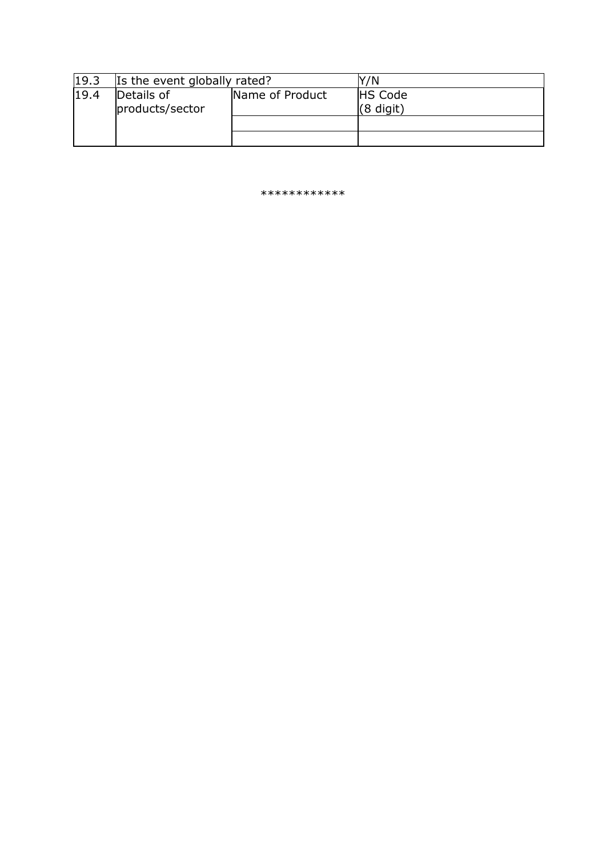| 19.3 | Is the event globally rated?  |                 | '/N                           |
|------|-------------------------------|-----------------|-------------------------------|
| 19.4 | Details of<br>products/sector | Name of Product | <b>HS Code</b><br>$(8$ digit) |
|      |                               |                 |                               |
|      |                               |                 |                               |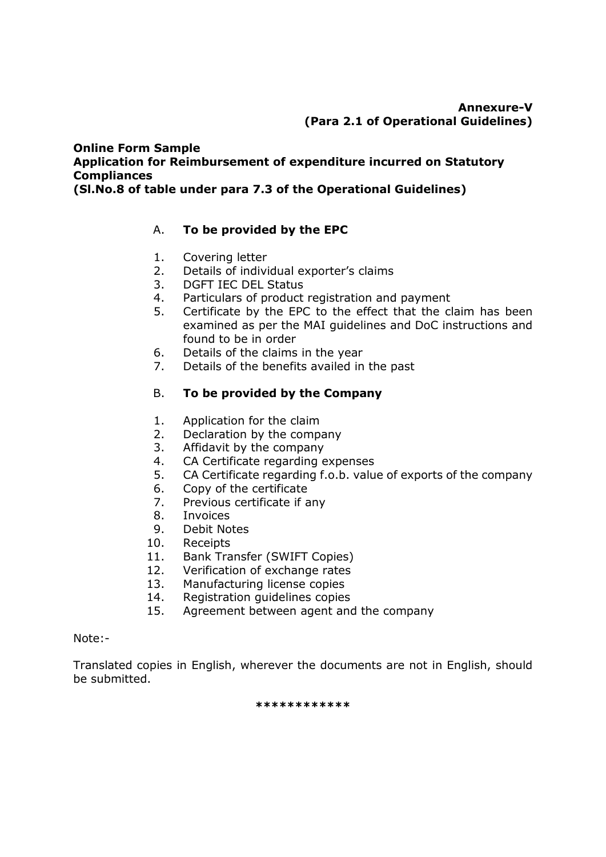#### **Online Form Sample Application for Reimbursement of expenditure incurred on Statutory Compliances (Sl.No.8 of table under para 7.3 of the Operational Guidelines)**

# A. **To be provided by the EPC**

- 1. Covering letter
- 2. Details of individual exporter's claims
- 3. DGFT IEC DEL Status
- 4. Particulars of product registration and payment
- 5. Certificate by the EPC to the effect that the claim has been examined as per the MAI guidelines and DoC instructions and found to be in order
- 6. Details of the claims in the year
- 7. Details of the benefits availed in the past

#### B. **To be provided by the Company**

- 1. Application for the claim
- 2. Declaration by the company
- 3. Affidavit by the company
- 4. CA Certificate regarding expenses
- 5. CA Certificate regarding f.o.b. value of exports of the company
- 6. Copy of the certificate
- 7. Previous certificate if any
- 8. Invoices
- 9. Debit Notes
- 10. Receipts
- 11. Bank Transfer (SWIFT Copies)
- 12. Verification of exchange rates
- 13. Manufacturing license copies
- 14. Registration guidelines copies
- 15. Agreement between agent and the company

#### Note:-

Translated copies in English, wherever the documents are not in English, should be submitted.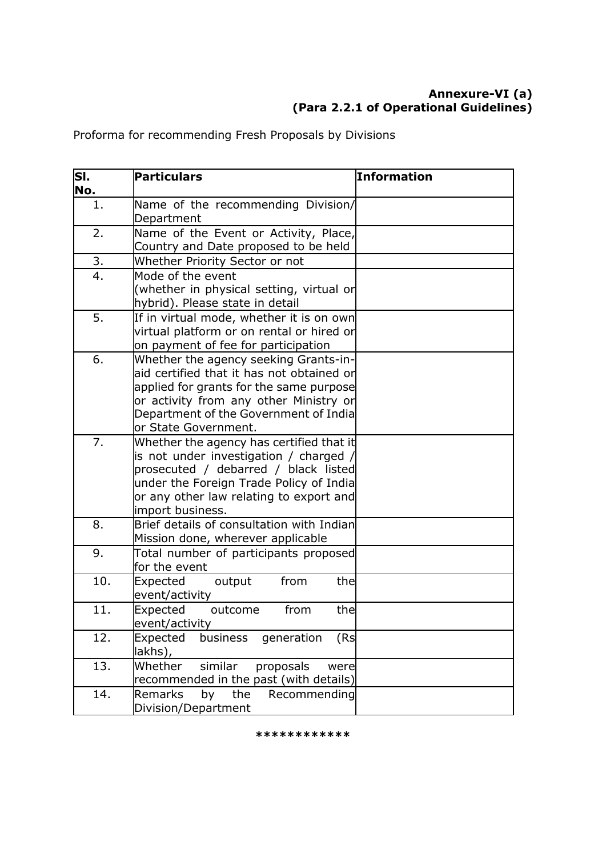# **Annexure-VI (a) (Para 2.2.1 of Operational Guidelines)**

Proforma for recommending Fresh Proposals by Divisions

| SI.<br>No.     | <b>Particulars</b>                                                                                                                                                                                                                       | <b>Information</b> |
|----------------|------------------------------------------------------------------------------------------------------------------------------------------------------------------------------------------------------------------------------------------|--------------------|
| 1.             | Name of the recommending Division/<br>Department                                                                                                                                                                                         |                    |
| 2.             | Name of the Event or Activity, Place,<br>Country and Date proposed to be held                                                                                                                                                            |                    |
| 3 <sub>1</sub> | Whether Priority Sector or not                                                                                                                                                                                                           |                    |
| 4.             | Mode of the event<br>(whether in physical setting, virtual or<br>hybrid). Please state in detail                                                                                                                                         |                    |
| 5.             | If in virtual mode, whether it is on own<br>virtual platform or on rental or hired or<br>on payment of fee for participation                                                                                                             |                    |
| 6.             | Whether the agency seeking Grants-in-<br>aid certified that it has not obtained or<br>applied for grants for the same purpose<br>or activity from any other Ministry or<br>Department of the Government of India<br>or State Government. |                    |
| 7.             | Whether the agency has certified that it<br>is not under investigation / charged /<br>prosecuted / debarred / black listed<br>under the Foreign Trade Policy of India<br>or any other law relating to export and<br>import business.     |                    |
| 8.             | Brief details of consultation with Indian<br>Mission done, wherever applicable                                                                                                                                                           |                    |
| 9.             | Total number of participants proposed<br>for the event                                                                                                                                                                                   |                    |
| 10.            | Expected<br>from<br>the<br>output<br>event/activity                                                                                                                                                                                      |                    |
| 11.            | Expected<br>from<br>the<br>outcome<br>event/activity                                                                                                                                                                                     |                    |
| 12.            | Expected<br>generation<br>business<br>(Rs<br>lakhs),                                                                                                                                                                                     |                    |
| 13.            | similar<br>Whether<br>proposals<br>were<br>recommended in the past (with details)                                                                                                                                                        |                    |
| 14.            | the<br><b>Remarks</b><br>by<br>Recommending<br>Division/Department                                                                                                                                                                       |                    |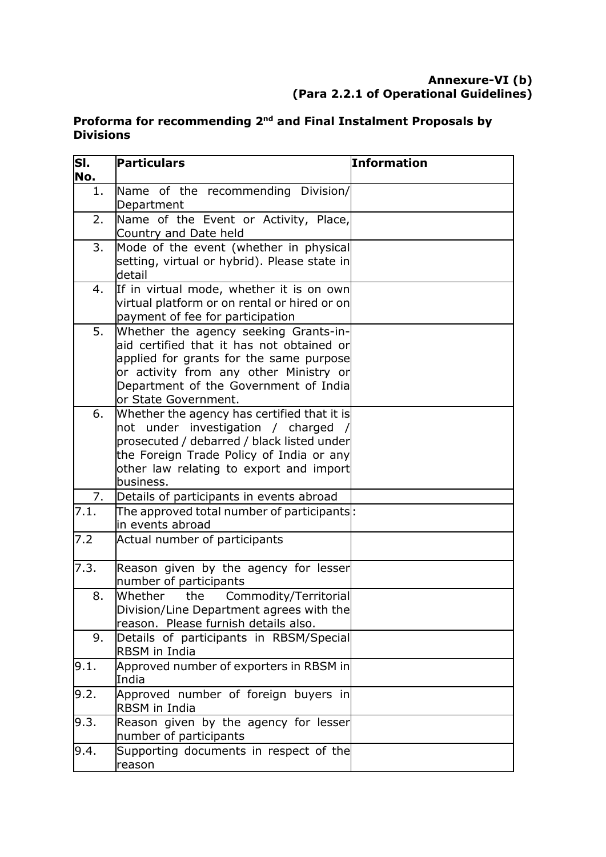#### **Annexure-VI (b) (Para 2.2.1 of Operational Guidelines)**

# **Proforma for recommending 2nd and Final Instalment Proposals by Divisions**

| SI.<br>No. | <b>Particulars</b>                                                                                                                                                                                                                       | <b>Information</b> |
|------------|------------------------------------------------------------------------------------------------------------------------------------------------------------------------------------------------------------------------------------------|--------------------|
| $1$ .      | Name of the recommending Division/<br>Department                                                                                                                                                                                         |                    |
| 2.         | Name of the Event or Activity, Place,<br>Country and Date held                                                                                                                                                                           |                    |
| 3.         | Mode of the event (whether in physical<br>setting, virtual or hybrid). Please state in<br>detail                                                                                                                                         |                    |
| 4.         | If in virtual mode, whether it is on own<br>virtual platform or on rental or hired or on<br>payment of fee for participation                                                                                                             |                    |
| 5.         | Whether the agency seeking Grants-in-<br>aid certified that it has not obtained or<br>applied for grants for the same purpose<br>or activity from any other Ministry or<br>Department of the Government of India<br>or State Government. |                    |
| 6.         | Whether the agency has certified that it is<br>not under investigation / charged /<br>prosecuted / debarred / black listed under<br>the Foreign Trade Policy of India or any<br>other law relating to export and import<br>business.     |                    |
| 7.         | Details of participants in events abroad                                                                                                                                                                                                 |                    |
| 7.1.       | The approved total number of participants :<br>in events abroad                                                                                                                                                                          |                    |
| 7.2        | Actual number of participants                                                                                                                                                                                                            |                    |
| 7.3.       | Reason given by the agency for lesser<br>number of participants                                                                                                                                                                          |                    |
| 8.         | Whether<br>Commodity/Territorial<br>the<br>Division/Line Department agrees with the<br>reason. Please furnish details also.                                                                                                              |                    |
| 9.         | Details of participants in RBSM/Special<br>RBSM in India                                                                                                                                                                                 |                    |
| 9.1.       | Approved number of exporters in RBSM in<br>India                                                                                                                                                                                         |                    |
| 9.2.       | Approved number of foreign buyers in<br>RBSM in India                                                                                                                                                                                    |                    |
| 9.3.       | Reason given by the agency for lesser<br>number of participants                                                                                                                                                                          |                    |
| 9.4.       | Supporting documents in respect of the<br>reason                                                                                                                                                                                         |                    |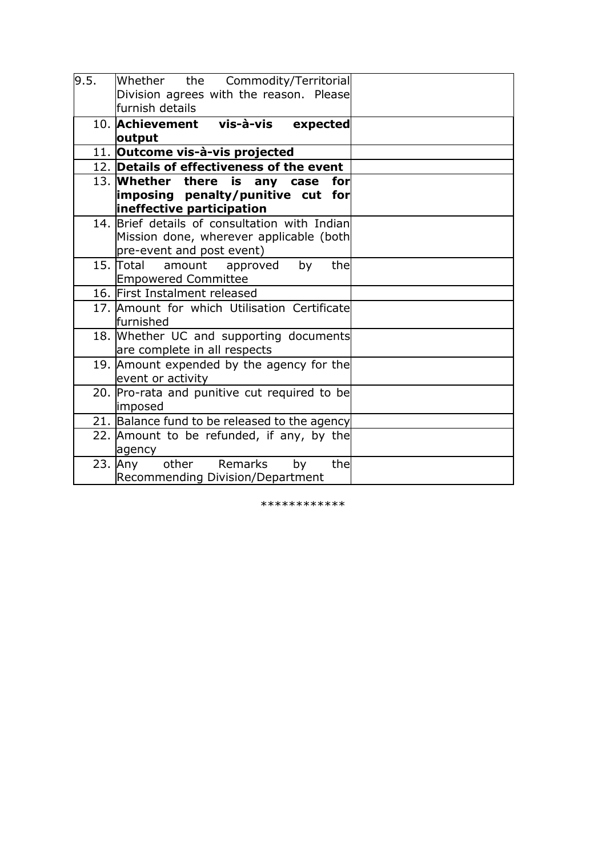| 9.5. | Whether the Commodity/Territorial<br>Division agrees with the reason. Please<br>lfurnish details                      |  |
|------|-----------------------------------------------------------------------------------------------------------------------|--|
|      | 10. Achievement vis-à-vis expected<br>output                                                                          |  |
|      | 11. Outcome vis-à-vis projected                                                                                       |  |
|      | 12. Details of effectiveness of the event                                                                             |  |
|      | 13. Whether there is any case for<br> imposing penalty/punitive cut for<br>ineffective participation                  |  |
|      | 14. Brief details of consultation with Indian<br>Mission done, wherever applicable (both<br>pre-event and post event) |  |
|      | 15. Total amount approved<br>thel<br>by<br><b>Empowered Committee</b>                                                 |  |
|      | 16. First Instalment released                                                                                         |  |
|      | 17. Amount for which Utilisation Certificate<br>lfurnished                                                            |  |
|      | 18. Whether UC and supporting documents<br>are complete in all respects                                               |  |
|      | 19. Amount expended by the agency for the<br>event or activity                                                        |  |
|      | 20. Pro-rata and punitive cut required to be<br>imposed                                                               |  |
|      | 21. Balance fund to be released to the agency                                                                         |  |
|      | 22. Amount to be refunded, if any, by the<br>agency                                                                   |  |
|      | other Remarks<br>$23.$ Any<br>by<br>thel<br>Recommending Division/Department                                          |  |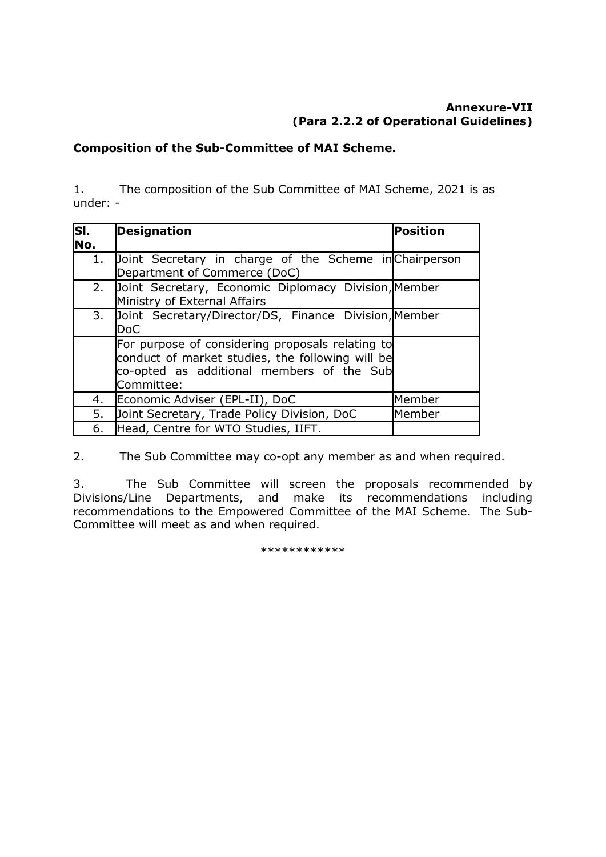#### **Composition of the Sub-Committee of MAI Scheme.**

1. The composition of the Sub Committee of MAI Scheme, 2021 is as under: -

| SI. | <b>Designation</b>                                      | Position |
|-----|---------------------------------------------------------|----------|
| No. |                                                         |          |
| 1.  | Doint Secretary in charge of the Scheme in Chairperson  |          |
|     | Department of Commerce (DoC)                            |          |
|     | 2. Joint Secretary, Economic Diplomacy Division, Member |          |
|     | Ministry of External Affairs                            |          |
| 3.  | Joint Secretary/Director/DS, Finance Division, Member   |          |
|     | <b>DoC</b>                                              |          |
|     | For purpose of considering proposals relating to        |          |
|     | conduct of market studies, the following will be        |          |
|     | co-opted as additional members of the Sub               |          |
|     | Committee:                                              |          |
| 4.  | Economic Adviser (EPL-II), DoC                          | Member   |
| 5.  | Joint Secretary, Trade Policy Division, DoC             | Member   |
| 6.  | Head, Centre for WTO Studies, IIFT.                     |          |

2. The Sub Committee may co-opt any member as and when required.

3. The Sub Committee will screen the proposals recommended by Divisions/Line Departments, and make its recommendations including recommendations to the Empowered Committee of the MAI Scheme. The Sub-Committee will meet as and when required.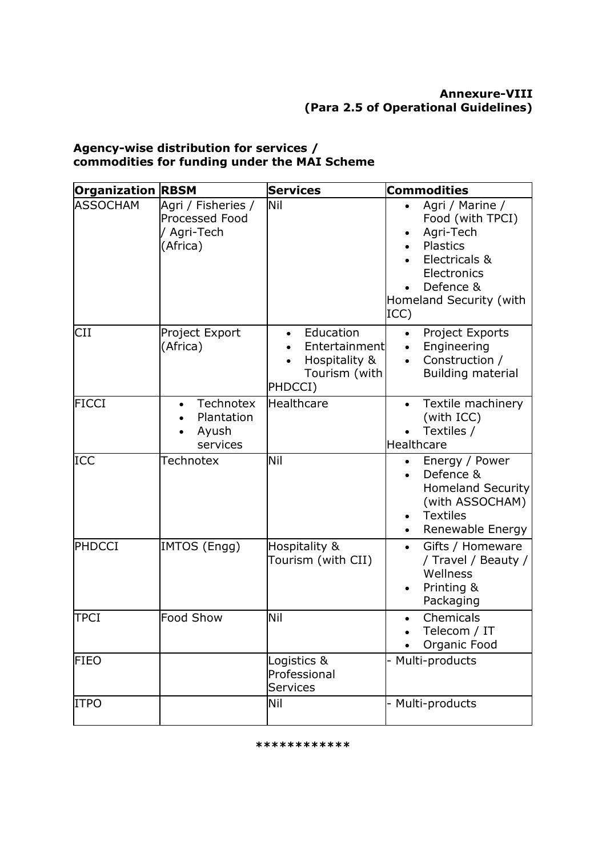#### **Agency-wise distribution for services / commodities for funding under the MAI Scheme**

| <b>Organization RBSM</b> |                                                                  | <b>Services</b>                                                          | <b>Commodities</b>                                                                                                                                        |
|--------------------------|------------------------------------------------------------------|--------------------------------------------------------------------------|-----------------------------------------------------------------------------------------------------------------------------------------------------------|
| <b>ASSOCHAM</b>          | Agri / Fisheries /<br>Processed Food<br>/ Agri-Tech<br>(Africa)  | Nil                                                                      | Agri / Marine /<br>$\bullet$<br>Food (with TPCI)<br>Agri-Tech<br>Plastics<br>Electricals &<br>Electronics<br>Defence &<br>Homeland Security (with<br>ICC) |
| CII                      | Project Export<br>(Africa)                                       | Education<br>Entertainment<br>Hospitality &<br>Tourism (with)<br>PHDCCI) | Project Exports<br>$\bullet$<br>Engineering<br>Construction /<br>$\bullet$<br><b>Building material</b>                                                    |
| <b>FICCI</b>             | <b>Technotex</b><br>$\bullet$<br>Plantation<br>Ayush<br>services | Healthcare                                                               | Textile machinery<br>$\bullet$<br>(with ICC)<br>Textiles /<br>Healthcare                                                                                  |
| <b>ICC</b>               | <b>Technotex</b>                                                 | Nil                                                                      | Energy / Power<br>Defence &<br><b>Homeland Security</b><br>(with ASSOCHAM)<br><b>Textiles</b><br>Renewable Energy                                         |
| PHDCCI                   | IMTOS (Engg)                                                     | Hospitality &<br>Tourism (with CII)                                      | Gifts / Homeware<br>$\bullet$<br>/ Travel / Beauty /<br>Wellness<br>Printing &<br>Packaging                                                               |
| <b>TPCI</b>              | Food Show                                                        | Nil                                                                      | Chemicals<br>Telecom / IT<br>Organic Food                                                                                                                 |
| <b>FIEO</b>              |                                                                  | Logistics &<br>Professional<br><b>Services</b>                           | - Multi-products                                                                                                                                          |
| <b>ITPO</b>              |                                                                  | Nil                                                                      | - Multi-products                                                                                                                                          |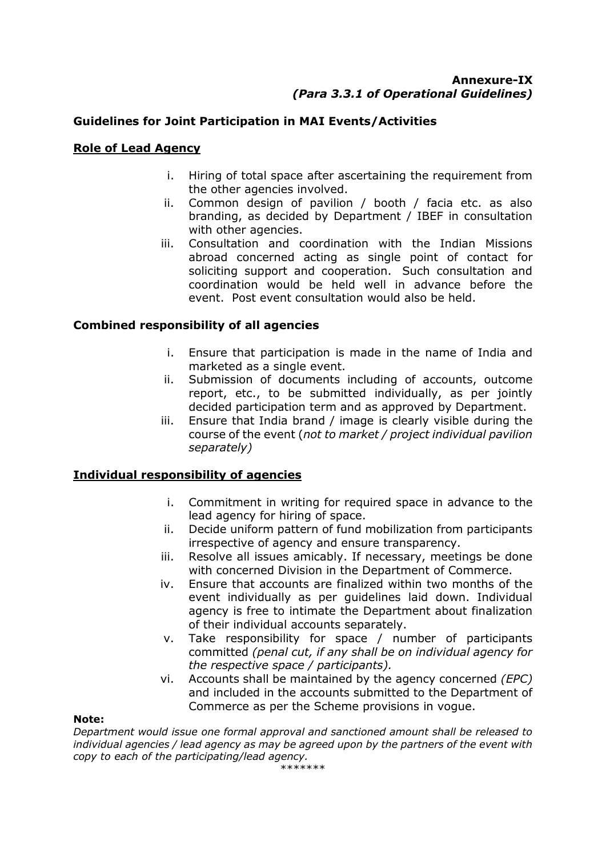#### **Annexure-IX** *(Para 3.3.1 of Operational Guidelines)*

## **Guidelines for Joint Participation in MAI Events/Activities**

#### **Role of Lead Agency**

- i. Hiring of total space after ascertaining the requirement from the other agencies involved.
- ii. Common design of pavilion / booth / facia etc. as also branding, as decided by Department / IBEF in consultation with other agencies.
- iii. Consultation and coordination with the Indian Missions abroad concerned acting as single point of contact for soliciting support and cooperation. Such consultation and coordination would be held well in advance before the event. Post event consultation would also be held.

#### **Combined responsibility of all agencies**

- i. Ensure that participation is made in the name of India and marketed as a single event.
- ii. Submission of documents including of accounts, outcome report, etc., to be submitted individually, as per jointly decided participation term and as approved by Department.
- iii. Ensure that India brand / image is clearly visible during the course of the event (*not to market / project individual pavilion separately)*

#### **Individual responsibility of agencies**

- i. Commitment in writing for required space in advance to the lead agency for hiring of space.
- ii. Decide uniform pattern of fund mobilization from participants irrespective of agency and ensure transparency.
- iii. Resolve all issues amicably. If necessary, meetings be done with concerned Division in the Department of Commerce.
- iv. Ensure that accounts are finalized within two months of the event individually as per guidelines laid down. Individual agency is free to intimate the Department about finalization of their individual accounts separately.
- v. Take responsibility for space / number of participants committed *(penal cut, if any shall be on individual agency for the respective space / participants).*
- vi. Accounts shall be maintained by the agency concerned *(EPC)*  and included in the accounts submitted to the Department of Commerce as per the Scheme provisions in vogue.

#### **Note:**

*Department would issue one formal approval and sanctioned amount shall be released to individual agencies / lead agency as may be agreed upon by the partners of the event with copy to each of the participating/lead agency.*

\*\*\*\*\*\*\*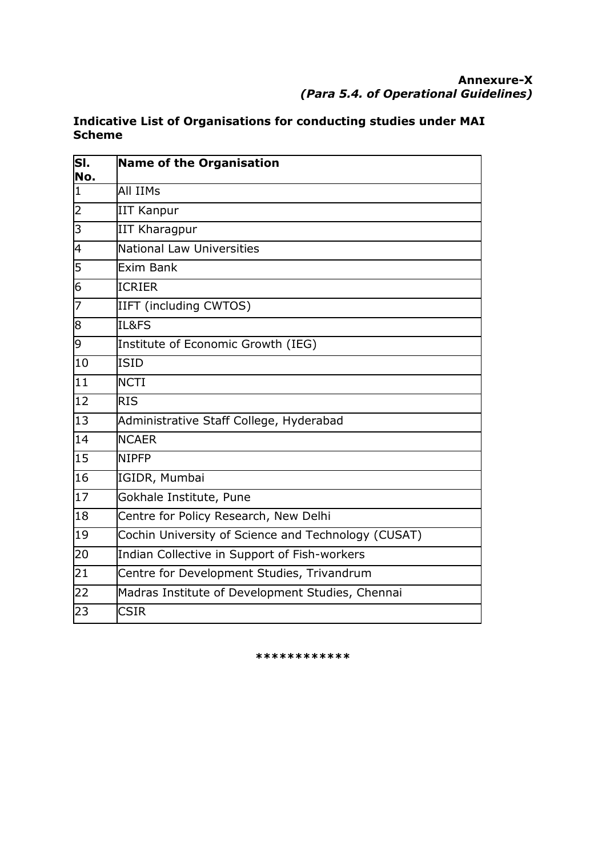| lsı.<br>No.              | Name of the Organisation                            |
|--------------------------|-----------------------------------------------------|
| I1                       | All IIMs                                            |
| 2                        | IIT Kanpur                                          |
| $\overline{\mathsf{S}}$  | <b>IIT Kharagpur</b>                                |
| 4                        | National Law Universities                           |
| $\overline{5}$           | Exim Bank                                           |
| $\overline{6}$           | <b>ICRIER</b>                                       |
| $\overline{\phantom{0}}$ | IIFT (including CWTOS)                              |
| 8                        | IL&FS                                               |
| 9                        | Institute of Economic Growth (IEG)                  |
| 10                       | ISID                                                |
| 11                       | <b>NCTI</b>                                         |
| $\overline{12}$          | <b>RIS</b>                                          |
| $\overline{13}$          | Administrative Staff College, Hyderabad             |
| $\overline{14}$          | <b>NCAER</b>                                        |
| 15                       | <b>NIPFP</b>                                        |
| 16                       | IGIDR, Mumbai                                       |
| 17                       | Gokhale Institute, Pune                             |
| $\overline{18}$          | Centre for Policy Research, New Delhi               |
| 19                       | Cochin University of Science and Technology (CUSAT) |
| 20                       | Indian Collective in Support of Fish-workers        |
| $\overline{21}$          | Centre for Development Studies, Trivandrum          |
| 22                       | Madras Institute of Development Studies, Chennai    |
| 23                       | CSIR                                                |

# **Indicative List of Organisations for conducting studies under MAI Scheme**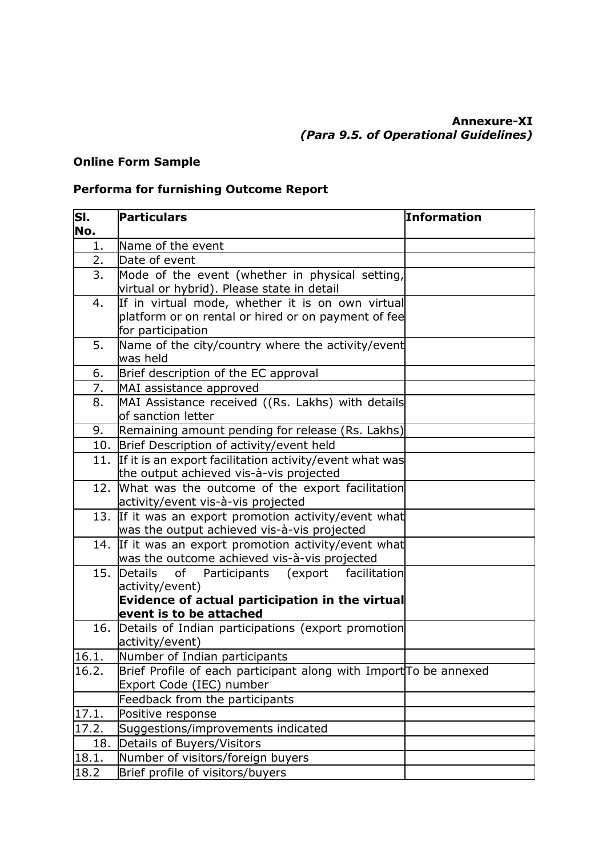### **Online Form Sample**

# **Performa for furnishing Outcome Report**

| SI.<br>No. | Particulars                                                                                                                  | Information |
|------------|------------------------------------------------------------------------------------------------------------------------------|-------------|
| 1.         | Name of the event                                                                                                            |             |
| 2.         | Date of event                                                                                                                |             |
| 3.         | Mode of the event (whether in physical setting,<br>virtual or hybrid). Please state in detail                                |             |
| 4.         | If in virtual mode, whether it is on own virtual<br>platform or on rental or hired or on payment of fee<br>for participation |             |
| 5.         | Name of the city/country where the activity/event<br>was held                                                                |             |
| 6.         | Brief description of the EC approval                                                                                         |             |
| 7.         | MAI assistance approved                                                                                                      |             |
| 8.         | MAI Assistance received ((Rs. Lakhs) with details<br>of sanction letter                                                      |             |
| 9.         | Remaining amount pending for release (Rs. Lakhs)                                                                             |             |
|            | 10. Brief Description of activity/event held                                                                                 |             |
|            | 11. If it is an export facilitation activity/event what was<br>the output achieved vis-à-vis projected                       |             |
|            | 12. What was the outcome of the export facilitation<br>activity/event vis-à-vis projected                                    |             |
|            | 13. If it was an export promotion activity/event what<br>was the output achieved vis-à-vis projected                         |             |
|            | 14. If it was an export promotion activity/event what<br>was the outcome achieved vis-à-vis projected                        |             |
|            | 15. Details of<br>Participants (export facilitation<br>activity/event)<br>Evidence of actual participation in the virtual    |             |
|            | event is to be attached                                                                                                      |             |
|            | 16. Details of Indian participations (export promotion<br>activity/event)                                                    |             |
| 16.1.      | Number of Indian participants                                                                                                |             |
| 16.2.      | Brief Profile of each participant along with Import To be annexed<br>Export Code (IEC) number                                |             |
|            | Feedback from the participants                                                                                               |             |
| 17.1.      | Positive response                                                                                                            |             |
| 17.2.      | Suggestions/improvements indicated                                                                                           |             |
| 18.        | Details of Buyers/Visitors                                                                                                   |             |
| 18.1.      | Number of visitors/foreign buyers                                                                                            |             |
| 18.2       | Brief profile of visitors/buyers                                                                                             |             |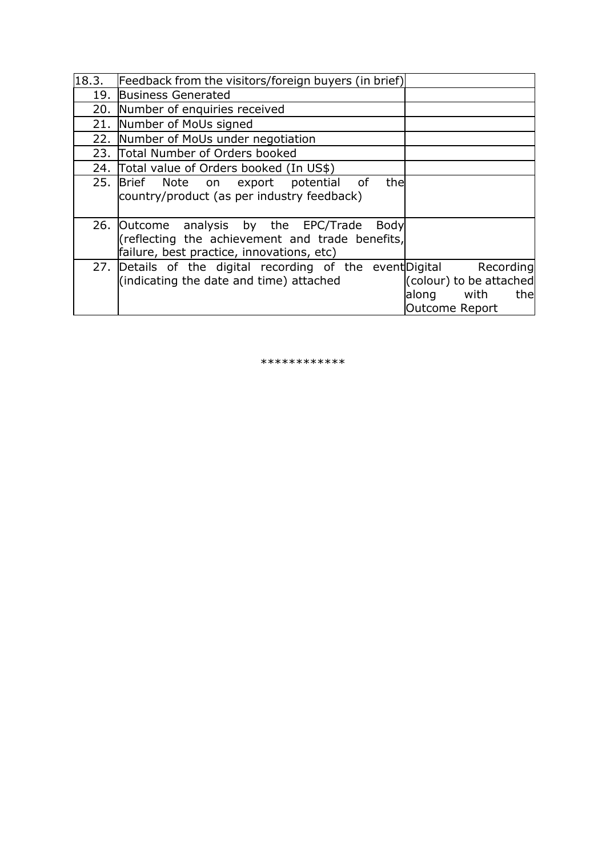|     | 18.3. Feedback from the visitors/foreign buyers (in brief)                                                                                           |                                                                           |
|-----|------------------------------------------------------------------------------------------------------------------------------------------------------|---------------------------------------------------------------------------|
|     | 19. Business Generated                                                                                                                               |                                                                           |
|     | 20. Number of enquiries received                                                                                                                     |                                                                           |
| 21. | Number of MoUs signed                                                                                                                                |                                                                           |
|     | 22. Number of MoUs under negotiation                                                                                                                 |                                                                           |
|     | 23. Total Number of Orders booked                                                                                                                    |                                                                           |
|     | 24. Total value of Orders booked (In US\$)                                                                                                           |                                                                           |
|     | 25. Brief Note on export potential<br>of<br>thel<br>country/product (as per industry feedback)                                                       |                                                                           |
|     | 26. Outcome analysis by the EPC/Trade<br><b>Body</b><br>(reflecting the achievement and trade benefits,<br>failure, best practice, innovations, etc) |                                                                           |
|     | 27. Details of the digital recording of the event Digital Recording<br>(indicating the date and time) attached                                       | (colour) to be attached<br>with<br>thel<br>along<br><b>Outcome Report</b> |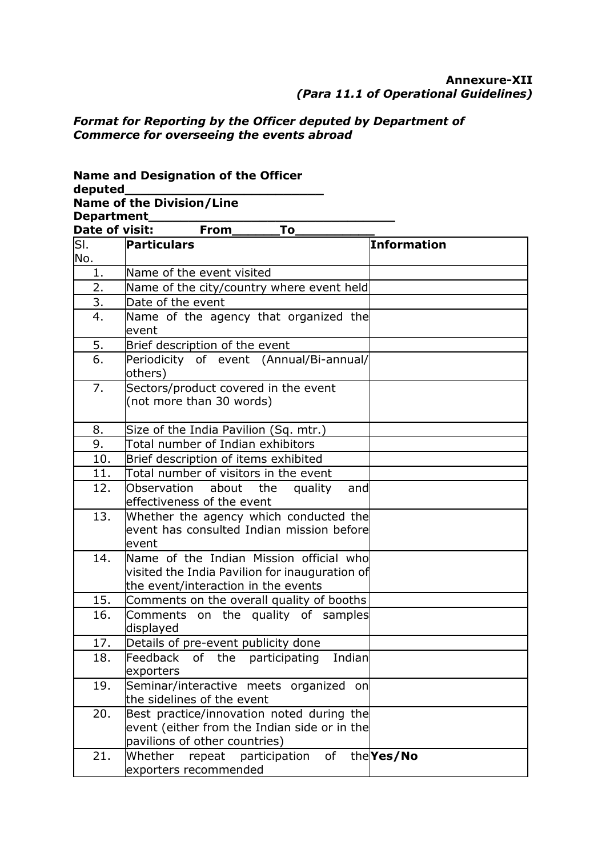#### **Annexure-XII** *(Para 11.1 of Operational Guidelines)*

# *Format for Reporting by the Officer deputed by Department of Commerce for overseeing the events abroad*

**Name and Designation of the Officer** 

| deputed_____                                   |                                                                                                                                  |                    |
|------------------------------------------------|----------------------------------------------------------------------------------------------------------------------------------|--------------------|
| <b>Name of the Division/Line</b><br>Department |                                                                                                                                  |                    |
| Date of visit:                                 | From<br>To                                                                                                                       |                    |
| Бı.                                            | Particulars                                                                                                                      | <b>Information</b> |
| No.                                            |                                                                                                                                  |                    |
| 1.                                             | Name of the event visited                                                                                                        |                    |
| 2.                                             | Name of the city/country where event held                                                                                        |                    |
| 3.                                             | Date of the event                                                                                                                |                    |
| 4.                                             | Name of the agency that organized the<br>event                                                                                   |                    |
| 5.                                             | Brief description of the event                                                                                                   |                    |
| 6.                                             | Periodicity of event (Annual/Bi-annual/<br>others)                                                                               |                    |
| 7.                                             | Sectors/product covered in the event<br>(not more than 30 words)                                                                 |                    |
| 8.                                             | Size of the India Pavilion (Sq. mtr.)                                                                                            |                    |
| 9.                                             | Total number of Indian exhibitors                                                                                                |                    |
| 10.                                            | Brief description of items exhibited                                                                                             |                    |
| 11.                                            | Total number of visitors in the event                                                                                            |                    |
| 12.                                            | Observation<br>about<br>the<br>quality<br>and<br>effectiveness of the event                                                      |                    |
| 13.                                            | Whether the agency which conducted the<br>event has consulted Indian mission beforel<br>event                                    |                    |
| 14.                                            | Name of the Indian Mission official who<br>visited the India Pavilion for inauguration of<br>the event/interaction in the events |                    |
| 15.                                            | Comments on the overall quality of booths                                                                                        |                    |
| 16.                                            | Comments on the quality of samples<br>displayed                                                                                  |                    |
| 17.                                            | Details of pre-event publicity done                                                                                              |                    |
| 18.                                            | Feedback<br>Indian<br>of the<br>participating<br>exporters                                                                       |                    |
| 19.                                            | Seminar/interactive meets organized on<br>the sidelines of the event                                                             |                    |
| 20.                                            | Best practice/innovation noted during the<br>event (either from the Indian side or in the<br>pavilions of other countries)       |                    |
| 21.                                            | Whether<br>participation<br>repeat<br>of<br>exporters recommended                                                                | the Yes/No         |